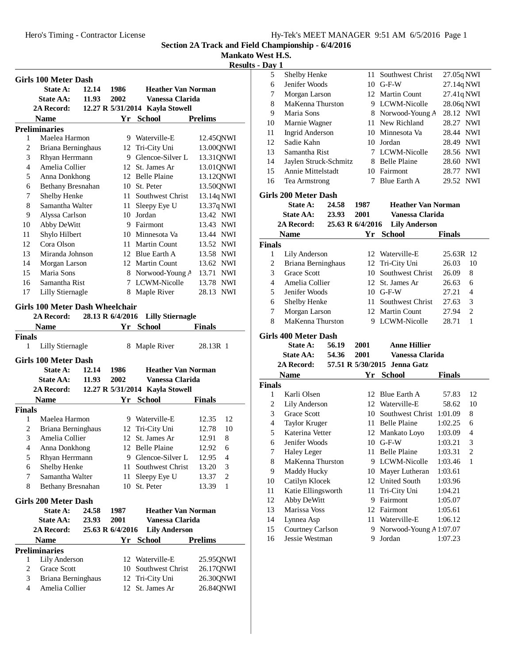**Mankato West H.S.**

|                               | <b>Girls 100 Meter Dash</b>                    |       |                  |                                              |                        |
|-------------------------------|------------------------------------------------|-------|------------------|----------------------------------------------|------------------------|
|                               | <b>State A:</b>                                | 12.14 | 1986             | <b>Heather Van Norman</b>                    |                        |
|                               | <b>State AA:</b>                               | 11.93 | 2002             | Vanessa Clarida                              |                        |
|                               | 2A Record:                                     |       |                  | 12.27 R 5/31/2014 Kayla Stowell              |                        |
|                               | <b>Name</b>                                    |       |                  | Yr School                                    | <b>Prelims</b>         |
|                               | <b>Preliminaries</b>                           |       |                  |                                              |                        |
| 1                             | Maelea Harmon                                  |       |                  | 9 Waterville-E                               | 12.45QNWI              |
| 2                             | Briana Berninghaus                             |       |                  | 12 Tri-City Uni                              | 13.00QNWI              |
| 3                             | Rhyan Herrmann                                 |       |                  | 9 Glencoe-Silver L                           | 13.31QNWI              |
| 4                             | Amelia Collier                                 |       |                  | 12 St. James Ar                              | 13.01QNWI              |
| 5                             | Anna Donkhong                                  |       |                  | 12 Belle Plaine                              | 13.12QNWI              |
| 6                             | Bethany Bresnahan                              |       |                  | 10 St. Peter                                 | 13.50QNWI              |
| 7                             | Shelby Henke                                   |       |                  | 11 Southwest Christ                          | 13.14q NWI             |
| 8                             | Samantha Walter                                |       |                  | 11 Sleepy Eye U                              | 13.37q NWI             |
| 9                             | Alyssa Carlson                                 |       |                  | 10 Jordan                                    | 13.42 NWI              |
| 10                            | Abby DeWitt                                    |       |                  | 9 Fairmont                                   | 13.43 NWI              |
| 11                            | Shylo Hilbert                                  |       |                  | 10 Minnesota Va                              | 13.44 NWI              |
| 12                            | Cora Olson                                     |       |                  | 11 Martin Count                              | 13.52 NWI              |
| 13                            | Miranda Johnson                                |       |                  | 12 Blue Earth A                              | 13.58 NWI              |
| 14                            | Morgan Larson                                  |       |                  | 12 Martin Count                              | 13.62 NWI              |
| 15                            | Maria Sons                                     |       |                  | 8 Norwood-Young A                            | 13.71 NWI              |
| 16                            | Samantha Rist                                  |       | 7                | LCWM-Nicolle                                 | 13.78 NWI              |
| 17                            | Lilly Stiernagle                               |       |                  | 8 Maple River                                | 28.13<br><b>NWI</b>    |
|                               |                                                |       |                  |                                              |                        |
|                               | <b>Girls 100 Meter Dash Wheelchair</b>         |       |                  |                                              |                        |
|                               | <b>2A Record:</b>                              |       | 28.13 R 6/4/2016 | <b>Lilly Stiernagle</b>                      |                        |
|                               | <b>Name</b>                                    |       |                  | Yr School                                    | <b>Finals</b>          |
| <b>Finals</b>                 |                                                |       |                  |                                              |                        |
| 1                             | Lilly Stiernagle                               |       |                  | 8 Maple River                                | 28.13R 1               |
|                               |                                                |       |                  |                                              |                        |
|                               | <b>Girls 100 Meter Dash</b><br><b>State A:</b> | 12.14 | 1986             | <b>Heather Van Norman</b>                    |                        |
|                               | <b>State AA:</b>                               | 11.93 | 2002             | Vanessa Clarida                              |                        |
|                               | 2A Record:                                     |       |                  |                                              |                        |
|                               | <b>Name</b>                                    |       |                  | 12.27 R 5/31/2014 Kayla Stowell<br>Yr School | <b>Finals</b>          |
|                               |                                                |       |                  |                                              |                        |
| <b>Finals</b><br>1            | Maelea Harmon                                  |       |                  | 9 Waterville-E                               | 12                     |
|                               |                                                |       |                  |                                              | 12.35<br>10            |
| 2<br>3                        | Briana Berninghaus<br>Amelia Collier           |       | 12               | 12 Tri-City Uni<br>St. James Ar              | 12.78<br>8             |
|                               |                                                |       |                  |                                              | 12.91                  |
| $\overline{4}$                | Anna Donkhong                                  |       |                  | 12 Belle Plaine                              | 12.92<br>6             |
| 5                             | Rhyan Herrmann                                 |       |                  | 9 Glencoe-Silver L                           | 12.95<br>4             |
| 6                             | Shelby Henke                                   |       | 11               | Southwest Christ                             | 13.20<br>3             |
| 7                             | Samantha Walter                                |       | 11               | Sleepy Eye U                                 | 2<br>13.37<br>1        |
| 8                             | Bethany Bresnahan                              |       | 10               | St. Peter                                    | 13.39                  |
|                               | <b>Girls 200 Meter Dash</b>                    |       |                  |                                              |                        |
|                               | <b>State A:</b>                                | 24.58 | 1987             | <b>Heather Van Norman</b>                    |                        |
|                               | <b>State AA:</b>                               | 23.93 | 2001             | Vanessa Clarida                              |                        |
|                               | 2A Record:                                     |       | 25.63 R 6/4/2016 | <b>Lily Anderson</b>                         |                        |
|                               | <b>Name</b>                                    |       |                  | Yr School                                    | <b>Prelims</b>         |
|                               | <b>Preliminaries</b>                           |       |                  |                                              |                        |
| 1                             | Lily Anderson                                  |       | 12               | Waterville-E                                 | 25.95QNWI              |
| $\overline{c}$                | <b>Grace Scott</b>                             |       |                  | 10 Southwest Christ                          | 26.17QNWI              |
| 3<br>$\overline{\mathcal{L}}$ | Briana Berninghaus<br>Amelia Collier           |       | 12               | 12 Tri-City Uni<br>St. James Ar              | 26.30QNWI<br>26.84QNWI |

| .w             |                                         |                  |      |                                       |                                        |
|----------------|-----------------------------------------|------------------|------|---------------------------------------|----------------------------------------|
| 5              | Shelby Henke                            |                  |      | 11 Southwest Christ                   | 27.05q NWI                             |
| 6              | Jenifer Woods                           |                  |      | $10$ G-F-W                            | 27.14q NWI                             |
| 7              | Morgan Larson                           |                  |      | 12 Martin Count                       | 27.41q NWI                             |
| 8              | MaKenna Thurston                        |                  |      | 9 LCWM-Nicolle                        | 28.06q NWI                             |
| 9              | Maria Sons                              |                  |      | 8 Norwood-Young A                     | 28.12 NWI                              |
| 10             | Marnie Wagner                           |                  |      | 11 New Richland                       | 28.27 NWI                              |
| 11             | <b>Ingrid Anderson</b>                  |                  |      | 10 Minnesota Va                       | 28.44 NWI                              |
| 12             | Sadie Kahn                              |                  |      | 10 Jordan                             | 28.49 NWI                              |
| 13             | Samantha Rist                           |                  |      | 7 LCWM-Nicolle                        | 28.56 NWI                              |
| 14             | Jaylen Struck-Schmitz                   |                  |      | 8 Belle Plaine                        | 28.60 NWI                              |
| 15             | Annie Mittelstadt                       |                  |      | 10 Fairmont                           | 28.77 NWI                              |
| 16             | Tea Armstrong                           |                  |      | 7 Blue Earth A                        | 29.52 NWI                              |
|                | <b>Girls 200 Meter Dash</b>             |                  |      |                                       |                                        |
|                | <b>State A:</b>                         | 24.58            | 1987 | <b>Heather Van Norman</b>             |                                        |
|                | <b>State AA:</b>                        | 23.93            | 2001 | Vanessa Clarida                       |                                        |
|                | 2A Record:                              | 25.63 R 6/4/2016 |      | <b>Lily Anderson</b>                  |                                        |
|                | Name                                    |                  |      | Yr School                             | <b>Finals</b>                          |
| Finals         |                                         |                  |      |                                       |                                        |
| 1              | Lily Anderson                           |                  |      | 12 Waterville-E                       | 25.63R 12                              |
| $\overline{c}$ | Briana Berninghaus                      |                  |      | 12 Tri-City Uni                       | 26.03<br>10                            |
| 3              | <b>Grace Scott</b>                      |                  |      | 10 Southwest Christ                   | 8<br>26.09                             |
| $\overline{4}$ | Amelia Collier                          |                  |      | 12 St. James Ar                       | 26.63<br>6                             |
| 5              | Jenifer Woods                           |                  |      | $10$ G-F-W                            | 27.21<br>4                             |
| 6              | Shelby Henke                            |                  |      | 11 Southwest Christ                   | 3<br>27.63                             |
| 7              | Morgan Larson                           |                  |      | 12 Martin Count                       | $\overline{c}$<br>27.94                |
| 8              | MaKenna Thurston                        |                  |      | 9 LCWM-Nicolle                        | 1<br>28.71                             |
|                |                                         |                  |      |                                       |                                        |
|                | Girls 400 Meter Dash<br><b>State A:</b> | 56.19            | 2001 | <b>Anne Hillier</b>                   |                                        |
|                | <b>State AA:</b>                        | 54.36            | 2001 | Vanessa Clarida                       |                                        |
|                | 2A Record:                              |                  |      | 57.51 R 5/30/2015 Jenna Gatz          |                                        |
|                | <b>Name</b>                             |                  |      |                                       | <b>Finals</b>                          |
| Finals         |                                         |                  |      | Yr School                             |                                        |
| 1              | Karli Olsen                             |                  |      | 12 Blue Earth A                       | 57.83<br>12                            |
| $\mathfrak{2}$ | Lily Anderson                           |                  |      | 12 Waterville-E                       | 58.62<br>10                            |
| 3              | <b>Grace Scott</b>                      |                  |      | 10 Southwest Christ                   | 8<br>1:01.09                           |
| $\overline{4}$ | Taylor Kruger                           |                  |      | 11 Belle Plaine                       | 1:02.25<br>6                           |
| 5              | Katerina Vetter                         |                  |      | 12 Mankato Loyo                       | $\overline{4}$<br>1:03.09              |
| 6              | Jenifer Woods                           |                  |      | $10$ G-F-W                            | $\ensuremath{\mathfrak{Z}}$<br>1:03.21 |
| 7              | <b>Haley Leger</b>                      |                  |      | 11 Belle Plaine                       | $\overline{\mathbf{c}}$<br>1:03.31     |
| 8              | MaKenna Thurston                        |                  |      | 9 LCWM-Nicolle                        | 1:03.46<br>1                           |
| 9              | Maddy Hucky                             |                  |      | 10 Mayer Lutheran                     | 1:03.61                                |
| 10             | Catilyn Klocek                          |                  |      | 12 United South                       | 1:03.96                                |
| 11             | Katie Ellingsworth                      |                  | 11   | Tri-City Uni                          | 1:04.21                                |
| 12             | Abby DeWitt                             |                  |      | 9 Fairmont                            | 1:05.07                                |
| 13             | Marissa Voss                            |                  |      | 12 Fairmont                           | 1:05.61                                |
| 14             | Lynnea Asp                              |                  |      | 11 Waterville-E                       | 1:06.12                                |
| 15             |                                         |                  |      |                                       |                                        |
|                |                                         |                  |      |                                       |                                        |
| 16             | Courtney Carlson<br>Jessie Westman      |                  |      | 9 Norwood-Young A 1:07.07<br>9 Jordan | 1:07.23                                |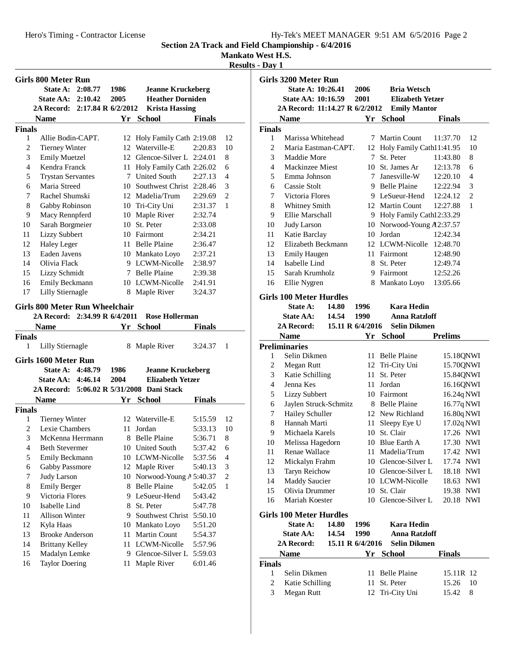**Mankato West H.S.**

|                                      | <b>Girls 800 Meter Run</b>              |                    |           |                                |               |                             |
|--------------------------------------|-----------------------------------------|--------------------|-----------|--------------------------------|---------------|-----------------------------|
|                                      | State A: 2:08.77                        |                    | 1986      | <b>Jeanne Kruckeberg</b>       |               |                             |
|                                      | <b>State AA:</b>                        | 2:10.42            | 2005      | <b>Heather Dorniden</b>        |               |                             |
|                                      | 2A Record:                              | 2:17.84 R 6/2/2012 |           | <b>Krista Hassing</b>          |               |                             |
|                                      | <b>Name</b>                             |                    | Yr        | <b>School</b>                  | <b>Finals</b> |                             |
| <b>Finals</b>                        |                                         |                    |           |                                |               |                             |
| 1                                    | Allie Bodin-CAPT.                       |                    | 12        | Holy Family Cath 2:19.08       |               | 12                          |
| $\overline{c}$                       | <b>Tierney Winter</b>                   |                    |           | 12 Waterville-E                | 2:20.83       | 10                          |
| 3                                    | <b>Emily Muetzel</b>                    |                    |           | 12 Glencoe-Silver L 2:24.01    |               | 8                           |
| $\overline{4}$                       | Kendra Franck                           |                    |           | 11 Holy Family Cath 2:26.02    |               | 6                           |
| 5                                    | <b>Trystan Servantes</b>                |                    |           | 7 United South                 | 2:27.13       | 4                           |
| 6                                    | Maria Streed                            |                    |           | 10 Southwest Christ 2:28.46    |               | 3                           |
| 7                                    | Rachel Shumski                          |                    |           | 12 Madelia/Trum                | 2:29.69       | 2                           |
| 8                                    | Gabby Robinson                          |                    |           | 10 Tri-City Uni                | 2:31.37       | 1                           |
| 9                                    | Macy Rennpferd                          |                    |           | 10 Maple River                 | 2:32.74       |                             |
| 10                                   | Sarah Borgmeier                         |                    |           | 10 St. Peter                   | 2:33.08       |                             |
| 11                                   | <b>Lizzy Subbert</b>                    |                    |           | 10 Fairmont                    | 2:34.21       |                             |
| 12                                   | <b>Haley Leger</b>                      |                    |           | 11 Belle Plaine                | 2:36.47       |                             |
| 13                                   | <b>Eaden Javens</b>                     |                    |           | 10 Mankato Loyo                | 2:37.21       |                             |
| 14                                   | Olivia Flack                            |                    |           | 9 LCWM-Nicolle                 | 2:38.97       |                             |
| 15                                   | Lizzy Schmidt                           |                    |           | 7 Belle Plaine                 | 2:39.38       |                             |
| 16                                   | Emily Beckmann                          |                    |           | 10 LCWM-Nicolle                | 2:41.91       |                             |
| 17                                   | Lilly Stiernagle                        |                    |           | 8 Maple River                  | 3:24.37       |                             |
|                                      |                                         |                    |           |                                |               |                             |
|                                      |                                         |                    |           |                                |               |                             |
|                                      | Girls 800 Meter Run Wheelchair          |                    |           |                                |               |                             |
|                                      | 2A Record: 2:34.99 R 6/4/2011           |                    |           | <b>Rose Hollerman</b>          |               |                             |
|                                      | <b>Name</b>                             |                    |           | Yr School                      | <b>Finals</b> |                             |
|                                      |                                         |                    |           |                                |               |                             |
| 1                                    | Lilly Stiernagle                        |                    | 8         | Maple River                    | 3:24.37       | 1                           |
|                                      | Girls 1600 Meter Run                    |                    |           |                                |               |                             |
|                                      | <b>State A:</b>                         | 4:48.79            | 1986      | <b>Jeanne Kruckeberg</b>       |               |                             |
|                                      | <b>State AA:</b>                        | 4:46.14            | 2004      | <b>Elizabeth Yetzer</b>        |               |                             |
|                                      | <b>2A Record:</b>                       |                    |           | 5:06.02 R 5/31/2008 Dani Stack |               |                             |
|                                      | <b>Name</b>                             |                    | <b>Yr</b> | School                         | <b>Finals</b> |                             |
|                                      |                                         |                    |           |                                |               |                             |
| 1                                    | <b>Tierney Winter</b>                   |                    |           | 12 Waterville-E                | 5:15.59       | 12                          |
| 2                                    | Lexie Chambers                          |                    | 11        | Jordan                         | 5:33.13       | 10                          |
| 3                                    | McKenna Herrmann                        |                    | 8         | <b>Belle Plaine</b>            | 5:36.71       | 8                           |
| $\overline{4}$                       | <b>Beth Stevermer</b>                   |                    |           | 10 United South                | 5:37.42       | 6                           |
| 5                                    | Emily Beckmann                          |                    |           | 10 LCWM-Nicolle                | 5:37.56       | $\overline{4}$              |
| 6                                    | Gabby Passmore                          |                    |           | 12 Maple River                 | 5:40.13       | $\ensuremath{\mathfrak{Z}}$ |
| 7                                    | <b>Judy Larson</b>                      |                    | 10        | Norwood-Young A 5:40.37        |               | 2                           |
| 8                                    | <b>Emily Berger</b>                     |                    | 8         | <b>Belle Plaine</b>            | 5:42.05       | 1                           |
| 9                                    | Victoria Flores                         |                    | 9.        | LeSueur-Hend                   | 5:43.42       |                             |
| 10                                   | Isabelle Lind                           |                    | 8         | St. Peter                      | 5:47.78       |                             |
| 11                                   | <b>Allison Winter</b>                   |                    | 9.        | Southwest Christ               | 5:50.10       |                             |
| 12                                   | Kyla Haas                               |                    | 10        | Mankato Loyo                   | 5:51.20       |                             |
| 13                                   | <b>Brooke Anderson</b>                  |                    | 11        | Martin Count                   | 5:54.37       |                             |
| 14                                   |                                         |                    | 11        | LCWM-Nicolle                   | 5:57.96       |                             |
| <b>Finals</b><br><b>Finals</b><br>15 | <b>Brittany Kelley</b><br>Madalyn Lemke |                    |           | 9 Glencoe-Silver L             | 5:59.03       |                             |

|                | Girls 3200 Meter Run           |                  |             |                              |                |                |
|----------------|--------------------------------|------------------|-------------|------------------------------|----------------|----------------|
|                | State A: 10:26.41              |                  | 2006        | <b>Bria Wetsch</b>           |                |                |
|                | <b>State AA: 10:16.59</b>      |                  | <b>2001</b> | <b>Elizabeth Yetzer</b>      |                |                |
|                | 2A Record: 11:14.27 R 6/2/2012 |                  |             | <b>Emily Mantor</b>          |                |                |
|                | <b>Name</b>                    |                  | Yг          | <b>School</b>                | <b>Finals</b>  |                |
| <b>Finals</b>  |                                |                  |             |                              |                |                |
| 1              | Marissa Whitehead              |                  |             | 7 Martin Count               | 11:37.70       | 12             |
| 2              | Maria Eastman-CAPT.            |                  |             | 12 Holy Family Cath11:41.95  |                | 10             |
| 3              | Maddie More                    |                  | 7           | St. Peter                    | 11:43.80       | 8              |
| 4              | Mackinzee Miest                |                  |             | 10 St. James Ar              | 12:13.78       | 6              |
| 5              | Emma Johnson                   |                  |             | 7 Janesville-W               | 12:20.10       | 4              |
| 6              | Cassie Stolt                   |                  |             | 9 Belle Plaine               | 12:22.94       | 3              |
| 7              | Victoria Flores                |                  |             | 9 LeSueur-Hend               | 12:24.12       | $\overline{2}$ |
| 8              | Whitney Smith                  |                  |             | 12 Martin Count              | 12:27.88       | 1              |
| 9              | Ellie Marschall                |                  |             | 9 Holy Family Cath12:33.29   |                |                |
| 10             |                                |                  |             |                              |                |                |
|                | Judy Larson                    |                  |             | 10 Norwood-Young A2:37.57    |                |                |
| 11             | Katie Barclay                  |                  |             | 10 Jordan                    | 12:42.34       |                |
| 12             | Elizabeth Beckmann             |                  |             | 12 LCWM-Nicolle              | 12:48.70       |                |
| 13             | <b>Emily Haugen</b>            |                  |             | 11 Fairmont                  | 12:48.90       |                |
| 14             | Isabelle Lind                  |                  |             | 8 St. Peter                  | 12:49.74       |                |
| 15             | Sarah Krumholz                 |                  |             | 9 Fairmont                   | 12:52.26       |                |
| 16             | Ellie Nygren                   |                  |             | 8 Mankato Loyo               | 13:05.66       |                |
|                | <b>Girls 100 Meter Hurdles</b> |                  |             |                              |                |                |
|                | <b>State A:</b>                | 14.80            | 1996        | <b>Kara Hedin</b>            |                |                |
|                | <b>State AA:</b>               | 14.54            | 1990        | <b>Anna Ratzloff</b>         |                |                |
|                | 2A Record:                     | 15.11 R 6/4/2016 |             | <b>Selin Dikmen</b>          |                |                |
|                | <b>Name</b>                    |                  | Υr          | <b>School</b>                | <b>Prelims</b> |                |
|                | <b>Preliminaries</b>           |                  |             |                              |                |                |
| 1              | Selin Dikmen                   |                  |             | 11 Belle Plaine              | 15.18QNWI      |                |
| 2              | Megan Rutt                     |                  |             | 12 Tri-City Uni              | 15.70QNWI      |                |
| 3              | Katie Schilling                |                  | 11          | St. Peter                    | 15.84QNWI      |                |
| 4              | Jenna Kes                      |                  |             | 11 Jordan                    | 16.16QNWI      |                |
| 5              | <b>Lizzy Subbert</b>           |                  |             | 10 Fairmont                  | 16.24q NWI     |                |
| 6              | Jaylen Struck-Schmitz          |                  |             | 8 Belle Plaine               | 16.77q NWI     |                |
| 7              | Hailey Schuller                |                  |             | 12 New Richland              | 16.80q NWI     |                |
| 8              | Hannah Marti                   |                  | 11          |                              | 17.02q NWI     |                |
| 9              | Michaela Karels                |                  |             | Sleepy Eye U<br>10 St. Clair | 17.26 NWI      |                |
|                |                                |                  |             | 10 Blue Earth A              | 17.30 NWI      |                |
| 10             | Melissa Hagedorn               |                  |             |                              |                |                |
| 11             | Renae Wallace                  |                  | 11          | Madelia/Trum                 | 17.42 NWI      |                |
| 12             | Mickalyn Frahm                 |                  | 10          | Glencoe-Silver L             | 17.74 NWI      |                |
| 13             | <b>Taryn Reichow</b>           |                  |             | 10 Glencoe-Silver L          | 18.18 NWI      |                |
| 14             | <b>Maddy Saucier</b>           |                  |             | 10 LCWM-Nicolle              | 18.63 NWI      |                |
| 15             | Olivia Drummer                 |                  |             | 10 St. Clair                 | 19.38 NWI      |                |
| 16             | Mariah Koester                 |                  |             | 10 Glencoe-Silver L          | 20.18 NWI      |                |
|                | <b>Girls 100 Meter Hurdles</b> |                  |             |                              |                |                |
|                | <b>State A:</b>                | 14.80            | 1996        | <b>Kara Hedin</b>            |                |                |
|                | <b>State AA:</b>               | 14.54            | 1990        | <b>Anna Ratzloff</b>         |                |                |
|                | 2A Record:                     | 15.11 R 6/4/2016 |             | Selin Dikmen                 |                |                |
|                | <b>Name</b>                    |                  | Yr          | <b>School</b>                | <b>Finals</b>  |                |
| <b>Finals</b>  |                                |                  |             |                              |                |                |
| 1              | Selin Dikmen                   |                  | 11          | <b>Belle Plaine</b>          | 15.11R 12      |                |
| $\overline{c}$ |                                |                  | 11          | St. Peter                    | 15.26          | 10             |
| 3              | Katie Schilling                |                  |             |                              |                |                |
|                | Megan Rutt                     |                  | 12          | Tri-City Uni                 | 15.42          | 8              |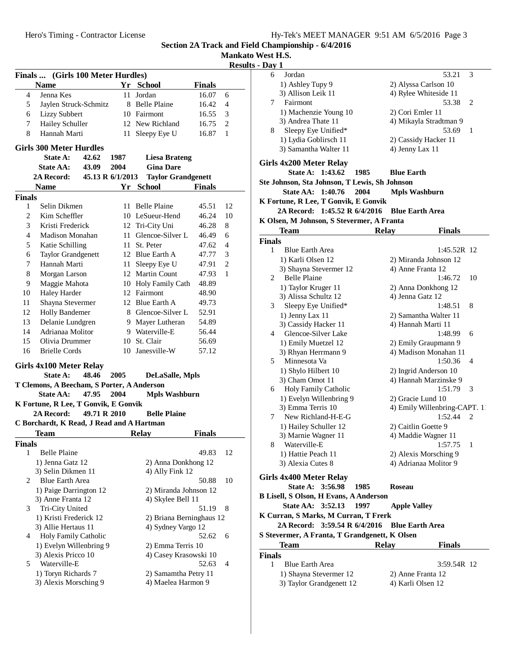|                |                                                  |              |      |                                            |                        | <b>Mankato W</b><br><b>Results -</b> |
|----------------|--------------------------------------------------|--------------|------|--------------------------------------------|------------------------|--------------------------------------|
|                | Finals  (Girls 100 Meter Hurdles)<br><b>Name</b> |              |      | Yr School                                  |                        |                                      |
| 4              | Jenna Kes                                        |              | 11   | Jordan                                     | <b>Finals</b><br>16.07 | 6                                    |
| 5              | Jaylen Struck-Schmitz                            |              |      | 8 Belle Plaine                             | 16.42                  | 4                                    |
| 6              | <b>Lizzy Subbert</b>                             |              |      | 10 Fairmont                                | 16.55                  | 3                                    |
| 7              | Hailey Schuller                                  |              |      | 12 New Richland                            |                        | $\overline{2}$                       |
| 8              | Hannah Marti                                     |              |      |                                            | 16.75                  |                                      |
|                |                                                  |              |      | 11 Sleepy Eye U                            | 16.87                  | 1                                    |
|                | <b>Girls 300 Meter Hurdles</b>                   |              |      |                                            |                        |                                      |
|                | <b>State A:</b>                                  | 42.62        | 1987 | <b>Liesa Brateng</b>                       |                        | (                                    |
|                | <b>State AA:</b>                                 | 43.09        | 2004 | <b>Gina Dare</b>                           |                        |                                      |
|                | 2A Record: 45.13 R 6/1/2013                      |              |      | <b>Taylor Grandgenett</b>                  |                        | S                                    |
|                | <b>Name</b>                                      |              |      | Yr School                                  | <b>Finals</b>          |                                      |
| <b>Finals</b>  |                                                  |              |      |                                            |                        | F                                    |
| 1              | Selin Dikmen                                     |              |      | 11 Belle Plaine                            | 45.51                  | 12                                   |
| $\overline{c}$ | Kim Scheffler                                    |              |      | 10 LeSueur-Hend                            | 46.24                  | 10<br>F                              |
| 3              | Kristi Frederick                                 |              |      | 12 Tri-City Uni                            | 46.28                  | 8                                    |
| $\overline{4}$ | Madison Monahan                                  |              |      | 11 Glencoe-Silver L                        | 46.49                  | 6<br>F                               |
| 5              | Katie Schilling                                  |              |      | 11 St. Peter                               | 47.62                  | 4                                    |
| 6              | Taylor Grandgenett                               |              |      | 12 Blue Earth A                            | 47.77                  | 3                                    |
| 7              | Hannah Marti                                     |              |      | 11 Sleepy Eye U                            | 47.91                  | $\mathfrak{2}$                       |
| 8              | Morgan Larson                                    |              |      | 12 Martin Count                            | 47.93                  | 1                                    |
| 9              | Maggie Mahota                                    |              |      | 10 Holy Family Cath                        | 48.89                  |                                      |
| 10             | <b>Haley Harder</b>                              |              |      | 12 Fairmont                                | 48.90                  |                                      |
| 11             | Shayna Stevermer                                 |              |      | 12 Blue Earth A                            | 49.73                  |                                      |
| 12             | <b>Holly Bandemer</b>                            |              |      | 8 Glencoe-Silver L                         | 52.91                  |                                      |
| 13             | Delanie Lundgren                                 |              |      | 9 Mayer Lutheran                           | 54.89                  |                                      |
| 14             | Adrianaa Molitor                                 |              |      | 9 Waterville-E                             | 56.44                  |                                      |
| 15             | Olivia Drummer                                   |              |      | 10 St. Clair                               | 56.69                  |                                      |
| 16             | <b>Brielle Cords</b>                             |              |      | 10 Janesville-W                            | 57.12                  |                                      |
|                | <b>Girls 4x100 Meter Relay</b>                   |              |      |                                            |                        |                                      |
|                | <b>State A:</b>                                  | 48.46        | 2005 | <b>DeLaSalle, Mpls</b>                     |                        |                                      |
|                | T Clemons, A Beecham, S Porter, A Anderson       |              |      |                                            |                        |                                      |
|                | <b>State AA:</b>                                 | 47.95        | 2004 | <b>Mpls Washburn</b>                       |                        |                                      |
|                | K Fortune, R Lee, T Gonvik, E Gonvik             |              |      |                                            |                        |                                      |
|                | 2A Record:                                       | 49.71 R 2010 |      | <b>Belle Plaine</b>                        |                        |                                      |
|                | C Borchardt, K Read, J Read and A Hartman        |              |      |                                            |                        |                                      |
|                | <b>Team</b>                                      |              |      | <b>Relay</b>                               | <b>Finals</b>          |                                      |
| <b>Finals</b>  |                                                  |              |      |                                            |                        |                                      |
| 1              | <b>Belle Plaine</b>                              |              |      |                                            | 49.83                  | 12                                   |
|                | 1) Jenna Gatz 12                                 |              |      | 2) Anna Donkhong 12                        |                        |                                      |
|                | 3) Selin Dikmen 11                               |              |      | 4) Ally Fink 12                            |                        | (                                    |
| 2              | Blue Earth Area                                  |              |      |                                            | 50.88                  | 10                                   |
|                | 1) Paige Darrington 12                           |              |      | 2) Miranda Johnson 12                      |                        |                                      |
|                | 3) Anne Franta 12                                |              |      | 4) Skylee Bell 11                          |                        | F                                    |
| 3              | Tri-City United                                  |              |      |                                            | 51.19                  | 8                                    |
|                | 1) Kristi Frederick 12                           |              |      | 2) Briana Berninghaus 12                   |                        | F                                    |
|                | 3) Allie Hertaus 11                              |              |      | 4) Sydney Vargo 12                         |                        |                                      |
| 4              | Holy Family Catholic                             |              |      |                                            | 52.62                  | S<br>6                               |
|                | 1) Evelyn Willenbring 9                          |              |      | 2) Emma Terris 10                          |                        |                                      |
|                | 3) Alexis Pricco 10                              |              |      | 4) Casey Krasowski 10                      |                        | I                                    |
| 5              | Waterville-E                                     |              |      |                                            | 52.63                  | 4                                    |
|                | 1) Toryn Richards 7                              |              |      | 2) Samamtha Petry 11<br>4) Maelea Harmon 9 |                        |                                      |
|                | 3) Alexis Morsching 9                            |              |      |                                            |                        |                                      |

| to West H.S.                                                                    |                               |    |
|---------------------------------------------------------------------------------|-------------------------------|----|
| lts - Day 1                                                                     |                               |    |
| Jordan<br>6                                                                     | 53.21<br>3                    |    |
| 1) Ashley Tupy 9                                                                | 2) Alyssa Carlson 10          |    |
| 3) Allison Leik 11                                                              | 4) Rylee Whiteside 11         |    |
| 7<br>Fairmont                                                                   | 53.38<br>2                    |    |
| 1) Machenzie Young 10                                                           | 2) Cori Emler 11              |    |
| 3) Andrea Thate 11                                                              | 4) Mikayla Stradtman 9        |    |
| Sleepy Eye Unified*<br>8                                                        | 53.69<br>1                    |    |
| 1) Lydia Goblirsch 11                                                           | 2) Cassidy Hacker 11          |    |
| 3) Samantha Walter 11                                                           | 4) Jenny Lax 11               |    |
| Girls 4x200 Meter Relay                                                         |                               |    |
| State A: 1:43.62<br>1985                                                        | <b>Blue Earth</b>             |    |
| Ste Johnson, Sta Johnson, T Lewis, Sh Johnson<br><b>State AA:</b><br>1:40.76    |                               |    |
| 2004                                                                            | <b>Mpls Washburn</b>          |    |
| K Fortune, R Lee, T Gonvik, E Gonvik<br>1:45.52 R 6/4/2016<br><b>2A Record:</b> | <b>Blue Earth Area</b>        |    |
| K Olsen, M Johnson, S Stevermer, A Franta                                       |                               |    |
| <b>Team</b>                                                                     |                               |    |
| <b>Finals</b>                                                                   | <b>Finals</b><br>Relay        |    |
| 1<br>Blue Earth Area                                                            | 1:45.52R 12                   |    |
| 1) Karli Olsen 12                                                               | 2) Miranda Johnson 12         |    |
| 3) Shayna Stevermer 12                                                          | 4) Anne Franta 12             |    |
| $\overline{2}$<br><b>Belle Plaine</b>                                           | 1:46.72                       | 10 |
| 1) Taylor Kruger 11                                                             | 2) Anna Donkhong 12           |    |
| 3) Alissa Schultz 12                                                            | 4) Jenna Gatz 12              |    |
| Sleepy Eye Unified*<br>3                                                        | 1:48.51<br>8                  |    |
| 1) Jenny Lax 11                                                                 | 2) Samantha Walter 11         |    |
| 3) Cassidy Hacker 11                                                            | 4) Hannah Marti 11            |    |
| Glencoe-Silver Lake<br>4                                                        | 1:48.99<br>6                  |    |
| 1) Emily Muetzel 12                                                             | 2) Emily Graupmann 9          |    |
| 3) Rhyan Herrmann 9                                                             | 4) Madison Monahan 11         |    |
| Minnesota Va<br>5.                                                              | 1:50.36<br>4                  |    |
| 1) Shylo Hilbert 10                                                             | 2) Ingrid Anderson 10         |    |
| 3) Cham Omot 11                                                                 | 4) Hannah Marzinske 9         |    |
| Holy Family Catholic<br>6                                                       | 1:51.79<br>3                  |    |
| 1) Evelyn Willenbring 9                                                         | 2) Gracie Lund 10             |    |
| 3) Emma Terris 10                                                               | 4) Emily Willenbring-CAPT. 11 |    |
| New Richland-H-E-G<br>7                                                         | 1:52.44<br>2                  |    |
| 1) Hailey Schuller 12                                                           | 2) Caitlin Goette 9           |    |
| 3) Marnie Wagner 11                                                             | 4) Maddie Wagner 11           |    |
| Waterville-E<br>8                                                               | 1:57.75<br>1                  |    |
| 1) Hattie Peach 11<br>3) Alexia Cutes 8                                         | 2) Alexis Morsching 9         |    |
|                                                                                 | 4) Adrianaa Molitor 9         |    |
| Girls 4x400 Meter Relay                                                         |                               |    |
| State A:<br>3:56.98<br>1985                                                     | <b>Roseau</b>                 |    |
| <b>B Lisell, S Olson, H Evans, A Anderson</b>                                   |                               |    |
| State AA: 3:52.13<br>1997                                                       | <b>Apple Valley</b>           |    |
| K Curran, S Marks, M Curran, T Frerk                                            |                               |    |
| 2A Record: 3:59.54 R 6/4/2016                                                   | <b>Blue Earth Area</b>        |    |
| S Stevermer, A Franta, T Grandgenett, K Olsen                                   |                               |    |
| <b>Team</b>                                                                     | <b>Finals</b><br><b>Relay</b> |    |
| <b>Finals</b>                                                                   |                               |    |
| 1<br>Blue Earth Area                                                            | 3:59.54R 12                   |    |
| 1) Shayna Stevermer 12                                                          | 2) Anne Franta 12             |    |
| 3) Taylor Grandgenett 12                                                        | 4) Karli Olsen 12             |    |
|                                                                                 |                               |    |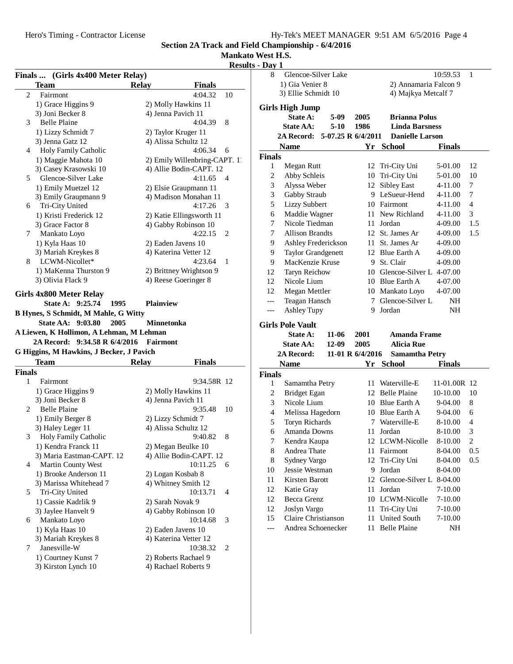# **Mankato West H.S.**

|               | Finals  (Girls 4x400 Meter Relay)        |                      |                              |                         | IWJULIO - <i>Dav</i> 1<br>8 | Glencoe-Silver Lake           |         |                  |                             | 10:59.53      | -1             |
|---------------|------------------------------------------|----------------------|------------------------------|-------------------------|-----------------------------|-------------------------------|---------|------------------|-----------------------------|---------------|----------------|
|               |                                          |                      |                              |                         |                             | 1) Gia Venier 8               |         |                  | 2) Annamaria Falcon 9       |               |                |
|               | <b>Team</b>                              | Relay                | <b>Finals</b>                |                         |                             | 3) Ellie Schmidt 10           |         |                  | 4) Majkya Metcalf 7         |               |                |
| 2             | Fairmont                                 |                      | 4:04.32                      | 10                      |                             |                               |         |                  |                             |               |                |
|               | 1) Grace Higgins 9                       |                      | 2) Molly Hawkins 11          |                         |                             | <b>Girls High Jump</b>        |         |                  |                             |               |                |
|               | 3) Joni Becker 8                         | 4) Jenna Pavich 11   |                              |                         |                             | <b>State A:</b>               | $5-09$  | 2005             | <b>Brianna Polus</b>        |               |                |
| 3             | <b>Belle Plaine</b>                      |                      | 4:04.39                      | 8                       |                             | <b>State AA:</b>              | $5-10$  | 1986             | <b>Linda Barsness</b>       |               |                |
|               | 1) Lizzy Schmidt 7                       | 2) Taylor Kruger 11  |                              |                         |                             | 2A Record: 5-07.25 R 6/4/2011 |         |                  | <b>Danielle Larson</b>      |               |                |
|               | 3) Jenna Gatz 12                         | 4) Alissa Schultz 12 |                              |                         |                             | <b>Name</b>                   |         |                  | Yr School                   | <b>Finals</b> |                |
| 4             | Holy Family Catholic                     |                      | 4:06.34                      | 6                       | <b>Finals</b>               |                               |         |                  |                             |               |                |
|               | 1) Maggie Mahota 10                      |                      | 2) Emily Willenbring-CAPT. 1 |                         | 1                           | Megan Rutt                    |         |                  | 12 Tri-City Uni             | 5-01.00       | 12             |
|               | 3) Casey Krasowski 10                    |                      | 4) Allie Bodin-CAPT. 12      |                         | $\overline{2}$              |                               |         |                  | 10 Tri-City Uni             |               | 10             |
| 5             | Glencoe-Silver Lake                      |                      | $4:11.65$ 4                  |                         |                             | Abby Schleis                  |         |                  |                             | 5-01.00       |                |
|               | 1) Emily Muetzel 12                      |                      | 2) Elsie Graupmann 11        |                         | 3                           | Alyssa Weber                  |         |                  | 12 Sibley East              | 4-11.00       | 7              |
|               | 3) Emily Graupmann 9                     |                      | 4) Madison Monahan 11        |                         | 3                           | Gabby Straub                  |         |                  | 9 LeSueur-Hend              | $4 - 11.00$   | 7              |
| 6             | Tri-City United                          |                      | 4:17.26                      | $\overline{\mathbf{3}}$ | 5                           | <b>Lizzy Subbert</b>          |         |                  | 10 Fairmont                 | 4-11.00       | $\overline{4}$ |
|               | 1) Kristi Frederick 12                   |                      | 2) Katie Ellingsworth 11     |                         | 6                           | Maddie Wagner                 |         |                  | 11 New Richland             | $4 - 11.00$   | 3              |
|               | 3) Grace Factor 8                        |                      | 4) Gabby Robinson 10         |                         | 7                           | Nicole Tiedman                |         |                  | 11 Jordan                   | 4-09.00       | 1.5            |
| 7             | Mankato Loyo                             |                      | 4:22.15                      | 2                       | 7                           | <b>Allison Brandts</b>        |         |                  | 12 St. James Ar             | 4-09.00       | 1.5            |
|               | 1) Kyla Haas 10                          | 2) Eaden Javens 10   |                              |                         | 9                           | Ashley Frederickson           |         |                  | 11 St. James Ar             | $4 - 09.00$   |                |
|               | 3) Mariah Kreykes 8                      |                      | 4) Katerina Vetter 12        |                         | 9                           | Taylor Grandgenett            |         |                  | 12 Blue Earth A             | 4-09.00       |                |
| 8             | LCWM-Nicollet*                           |                      | 4:23.64                      | -1                      | 9                           | MacKenzie Kruse               |         |                  | 9 St. Clair                 | 4-09.00       |                |
|               | 1) MaKenna Thurston 9                    |                      | 2) Brittney Wrightson 9      |                         | 12                          | <b>Taryn Reichow</b>          |         |                  | 10 Glencoe-Silver L 4-07.00 |               |                |
|               | 3) Olivia Flack 9                        |                      | 4) Reese Goeringer 8         |                         | 12                          | Nicole Lium                   |         |                  | 10 Blue Earth A             | 4-07.00       |                |
|               |                                          |                      |                              |                         | 12                          | Megan Mettler                 |         |                  | 10 Mankato Loyo             | 4-07.00       |                |
|               | Girls 4x800 Meter Relay                  |                      |                              |                         | $---$                       | Teagan Hansch                 |         |                  | 7 Glencoe-Silver L          | NH            |                |
|               | State A: 9:25.74<br>1995                 | <b>Plainview</b>     |                              |                         | $---$                       | <b>Ashley Tupy</b>            |         |                  | 9 Jordan                    | <b>NH</b>     |                |
|               | B Hynes, S Schmidt, M Mahle, G Witty     |                      |                              |                         |                             |                               |         |                  |                             |               |                |
|               |                                          |                      |                              |                         |                             |                               |         |                  |                             |               |                |
|               | 2005<br><b>State AA: 9:03.80</b>         | Minnetonka           |                              |                         |                             | <b>Girls Pole Vault</b>       |         |                  |                             |               |                |
|               | A Liewen, K Hollimon, A Lehman, M Lehman |                      |                              |                         |                             | State A:                      | 11-06   | 2001             | <b>Amanda Frame</b>         |               |                |
|               | 2A Record: 9:34.58 R 6/4/2016 Fairmont   |                      |                              |                         |                             | <b>State AA:</b>              | $12-09$ | 2005             | <b>Alicia Rue</b>           |               |                |
|               | G Higgins, M Hawkins, J Becker, J Pavich |                      |                              |                         |                             | 2A Record:                    |         | 11-01 R 6/4/2016 | <b>Samamtha Petry</b>       |               |                |
|               | <b>Team</b>                              | <b>Relay</b>         | <b>Finals</b>                |                         |                             |                               |         |                  |                             |               |                |
| <b>Finals</b> |                                          |                      |                              |                         |                             | <b>Name</b>                   |         |                  | Yr School                   | <b>Finals</b> |                |
| 1             | Fairmont                                 |                      | 9:34.58R 12                  |                         | <b>Finals</b>               |                               |         |                  |                             |               |                |
|               |                                          |                      |                              |                         | $\mathbf{1}$                | Samamtha Petry                |         |                  | 11 Waterville-E             | 11-01.00R 12  |                |
|               | 1) Grace Higgins 9<br>3) Joni Becker 8   |                      | 2) Molly Hawkins 11          |                         | $\overline{c}$              | <b>Bridget Egan</b>           |         |                  | 12 Belle Plaine             | 10-10.00      | 10             |
| 2             | <b>Belle Plaine</b>                      | 4) Jenna Pavich 11   |                              | 10                      | 3                           | Nicole Lium                   |         |                  | 10 Blue Earth A             | 9-04.00       | 8              |
|               |                                          |                      | 9:35.48                      |                         | $\overline{4}$              | Melissa Hagedorn              |         |                  | 10 Blue Earth A             | 9-04.00       | 6              |
|               | 1) Emily Berger 8                        | 2) Lizzy Schmidt 7   |                              |                         | 5                           | Toryn Richards                |         |                  | 7 Waterville-E              | 8-10.00       | $\overline{4}$ |
|               | 3) Haley Leger 11                        | 4) Alissa Schultz 12 |                              |                         | 6                           | Amanda Downs                  |         |                  | 11 Jordan                   | 8-10.00       | 3              |
| 3             | Holy Family Catholic                     |                      | 9:40.82                      | 8                       | 7                           | Kendra Kaupa                  |         |                  | 12 LCWM-Nicolle             | 8-10.00       | $\overline{2}$ |
|               | 1) Kendra Franck 11                      | 2) Megan Beulke 10   |                              |                         | 8                           | Andrea Thate                  |         |                  | 11 Fairmont                 | 8-04.00       | 0.5            |
|               | 3) Maria Eastman-CAPT. 12                |                      | 4) Allie Bodin-CAPT. 12      |                         | 8                           | Sydney Vargo                  |         |                  | 12 Tri-City Uni             | 8-04.00       | 0.5            |
| 4             | Martin County West                       |                      | 10:11.25 6                   |                         | 10                          | Jessie Westman                |         |                  | 9 Jordan                    | 8-04.00       |                |
|               | 1) Brooke Anderson 11                    | 2) Logan Kosbab 8    |                              |                         | 11                          | Kirsten Barott                |         |                  | 12 Glencoe-Silver L 8-04.00 |               |                |
|               | 3) Marissa Whitehead 7                   |                      | 4) Whitney Smith 12          |                         | 12                          | Katie Gray                    |         |                  | 11 Jordan                   | 7-10.00       |                |
| 5             | Tri-City United                          |                      | 10:13.71                     | $\overline{4}$          |                             | <b>Becca Grenz</b>            |         |                  |                             |               |                |
|               | 1) Cassie Kadrlik 9                      | 2) Sarah Novak 9     |                              |                         | 12                          |                               |         |                  | 10 LCWM-Nicolle             | 7-10.00       |                |
|               | 3) Jaylee Hanvelt 9                      |                      | 4) Gabby Robinson 10         |                         | 12                          | Joslyn Vargo                  |         |                  | 11 Tri-City Uni             | 7-10.00       |                |
| 6             | Mankato Loyo                             |                      | 10:14.68                     | 3                       | 15                          | Claire Christianson           |         |                  | 11 United South             | 7-10.00       |                |
|               | 1) Kyla Haas 10                          | 2) Eaden Javens 10   |                              |                         | $---$                       | Andrea Schoenecker            |         |                  | 11 Belle Plaine             | NH            |                |
|               | 3) Mariah Kreykes 8                      |                      | 4) Katerina Vetter 12        |                         |                             |                               |         |                  |                             |               |                |
| 7             | Janesville-W                             |                      | 10:38.32                     | 2                       |                             |                               |         |                  |                             |               |                |
|               | 1) Courtney Kunst 7                      |                      | 2) Roberts Rachael 9         |                         |                             |                               |         |                  |                             |               |                |
|               | 3) Kirston Lynch 10                      |                      | 4) Rachael Roberts 9         |                         |                             |                               |         |                  |                             |               |                |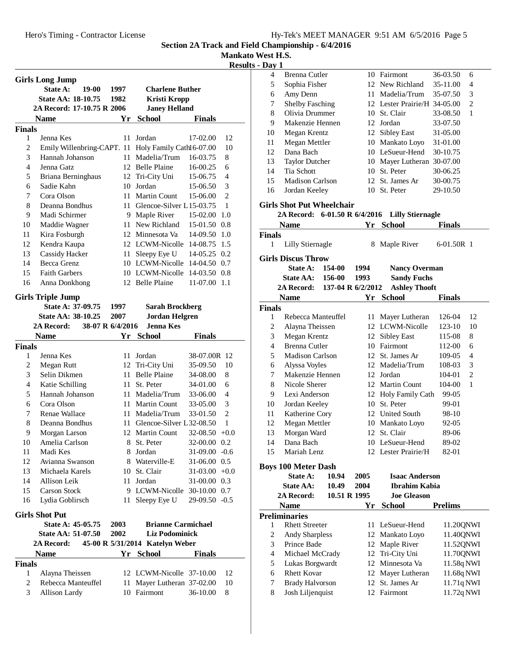**Results - Day 1**

| <b>State A:</b><br><b>Charlene Buther</b><br>19-00<br>1997<br><b>State AA: 18-10.75</b><br>1982<br>Kristi Kropp<br>2A Record: 17-10.75 R 2006<br><b>Janey Helland</b><br><b>School</b><br>Yr<br>Finals<br><b>Name</b><br><b>Finals</b><br>Jenna Kes<br>1<br>11<br>Jordan<br>12<br>17-02.00<br>2<br>Emily Willenbring-CAPT. 11 Holy Family Cath16-07.00<br>10<br>3<br>Hannah Johanson<br>11 Madelia/Trum<br>8<br>16-03.75<br>4<br>Jenna Gatz<br>12 Belle Plaine<br>16-00.25<br>6<br>5<br>12 Tri-City Uni<br>4<br>Briana Berninghaus<br>15-06.75<br>Sadie Kahn<br>10 Jordan<br>3<br>6<br>15-06.50<br>7<br>Cora Olson<br><b>Martin Count</b><br>2<br>11<br>15-06.00<br>Deanna Bondhus<br>Glencoe-Silver L15-03.75<br>1<br>8<br>11<br>Madi Schirmer<br>9<br>9.<br>Maple River<br>15-02.00<br>1.0<br>New Richland<br>10<br>Maddie Wagner<br>15-01.50<br>0.8<br>11<br>Kira Fosburgh<br>12 Minnesota Va<br>14-09.50<br>11<br>-1.0<br>Kendra Kaupa<br>12 LCWM-Nicolle<br>14-08.75<br>1.5<br>12<br><b>Cassidy Hacker</b><br>13<br>Sleepy Eye U<br>14-05.25 0.2<br>11<br><b>Becca Grenz</b><br>10 LCWM-Nicolle<br>14-04.50 0.7<br>14<br>15<br><b>Faith Garbers</b><br>10 LCWM-Nicolle<br>14-03.50 0.8<br>12 Belle Plaine<br>$11-07.00$<br>1.1<br>16<br>Anna Donkhong<br><b>Girls Triple Jump</b><br>State A: 37-09.75<br>1997<br><b>Sarah Brockberg</b><br><b>State AA: 38-10.25</b><br>2007<br>Jordan Helgren<br>38-07 R 6/4/2016<br><b>Jenna Kes</b><br><b>2A Record:</b><br>Yr<br><b>Finals</b><br><b>Name</b><br><b>School</b><br><b>Finals</b><br>Jenna Kes<br>11<br>Jordan<br>38-07.00R 12<br>1<br>$\overline{c}$<br>12<br>Tri-City Uni<br>Megan Rutt<br>35-09.50<br>10<br>Selin Dikmen<br>3<br>11<br><b>Belle Plaine</b><br>8<br>34-08.00<br>$\overline{\mathcal{L}}$<br>St. Peter<br>Katie Schilling<br>11<br>34-01.00<br>6<br>5<br>Hannah Johanson<br>11 Madelia/Trum<br>4<br>33-06.00<br>3<br>6<br>Cora Olson<br>11 Martin Count<br>33-05.00<br>$\overline{c}$<br>7<br>Renae Wallace<br>11 Madelia/Trum<br>33-01.50<br>8<br>11 Glencoe-Silver L32-08.50<br>1<br>Deanna Bondhus<br>9<br>Morgan Larson<br>12 Martin Count<br>32-08.50<br>$+0.0$<br>32-00.00 0.2<br>10<br>Amelia Carlson<br>8 St. Peter<br>Madi Kes<br>Jordan<br>$31-09.00 -0.6$<br>11<br>8.<br>12<br>8 Waterville-E<br>Avianna Swanson<br>31-06.00 0.5<br>13<br>10 St. Clair<br>Michaela Karels<br>$31-03.00 +0.0$<br>14<br>Allison Leik<br>11<br>Jordan<br>31-00.00 0.3<br>15<br><b>Carson Stock</b><br>9 LCWM-Nicolle 30-10.00 0.7<br>Lydia Goblirsch<br>16<br>Sleepy Eye U<br>29-09.50 -0.5<br>11<br><b>Girls Shot Put</b><br>State A: 45-05.75<br><b>Brianne Carmichael</b><br>2003<br><b>State AA: 51-07.50</b><br>2002<br><b>Liz Podominick</b><br>45-00 R 5/31/2014 Katelyn Weber<br>2A Record:<br>Yr School<br><b>Name</b><br>Finals<br><b>Finals</b><br>Alayna Theissen<br>12 LCWM-Nicolle 37-10.00<br>12<br>1<br>Rebecca Manteuffel<br>2<br>Mayer Lutheran 37-02.00<br>10<br>11<br>3<br>Allison Lardy<br>10 Fairmont<br>36-10.00<br>8 | <b>Girls Long Jump</b> |  |  |
|---------------------------------------------------------------------------------------------------------------------------------------------------------------------------------------------------------------------------------------------------------------------------------------------------------------------------------------------------------------------------------------------------------------------------------------------------------------------------------------------------------------------------------------------------------------------------------------------------------------------------------------------------------------------------------------------------------------------------------------------------------------------------------------------------------------------------------------------------------------------------------------------------------------------------------------------------------------------------------------------------------------------------------------------------------------------------------------------------------------------------------------------------------------------------------------------------------------------------------------------------------------------------------------------------------------------------------------------------------------------------------------------------------------------------------------------------------------------------------------------------------------------------------------------------------------------------------------------------------------------------------------------------------------------------------------------------------------------------------------------------------------------------------------------------------------------------------------------------------------------------------------------------------------------------------------------------------------------------------------------------------------------------------------------------------------------------------------------------------------------------------------------------------------------------------------------------------------------------------------------------------------------------------------------------------------------------------------------------------------------------------------------------------------------------------------------------------------------------------------------------------------------------------------------------------------------------------------------------------------------------------------------------------------------------------------------------------------------------------------------------------------------------------------------------------------------------------------------------------------------------------------------------------------------------------------------------------------------------------------------------------------|------------------------|--|--|
|                                                                                                                                                                                                                                                                                                                                                                                                                                                                                                                                                                                                                                                                                                                                                                                                                                                                                                                                                                                                                                                                                                                                                                                                                                                                                                                                                                                                                                                                                                                                                                                                                                                                                                                                                                                                                                                                                                                                                                                                                                                                                                                                                                                                                                                                                                                                                                                                                                                                                                                                                                                                                                                                                                                                                                                                                                                                                                                                                                                                               |                        |  |  |
|                                                                                                                                                                                                                                                                                                                                                                                                                                                                                                                                                                                                                                                                                                                                                                                                                                                                                                                                                                                                                                                                                                                                                                                                                                                                                                                                                                                                                                                                                                                                                                                                                                                                                                                                                                                                                                                                                                                                                                                                                                                                                                                                                                                                                                                                                                                                                                                                                                                                                                                                                                                                                                                                                                                                                                                                                                                                                                                                                                                                               |                        |  |  |
|                                                                                                                                                                                                                                                                                                                                                                                                                                                                                                                                                                                                                                                                                                                                                                                                                                                                                                                                                                                                                                                                                                                                                                                                                                                                                                                                                                                                                                                                                                                                                                                                                                                                                                                                                                                                                                                                                                                                                                                                                                                                                                                                                                                                                                                                                                                                                                                                                                                                                                                                                                                                                                                                                                                                                                                                                                                                                                                                                                                                               |                        |  |  |
|                                                                                                                                                                                                                                                                                                                                                                                                                                                                                                                                                                                                                                                                                                                                                                                                                                                                                                                                                                                                                                                                                                                                                                                                                                                                                                                                                                                                                                                                                                                                                                                                                                                                                                                                                                                                                                                                                                                                                                                                                                                                                                                                                                                                                                                                                                                                                                                                                                                                                                                                                                                                                                                                                                                                                                                                                                                                                                                                                                                                               |                        |  |  |
|                                                                                                                                                                                                                                                                                                                                                                                                                                                                                                                                                                                                                                                                                                                                                                                                                                                                                                                                                                                                                                                                                                                                                                                                                                                                                                                                                                                                                                                                                                                                                                                                                                                                                                                                                                                                                                                                                                                                                                                                                                                                                                                                                                                                                                                                                                                                                                                                                                                                                                                                                                                                                                                                                                                                                                                                                                                                                                                                                                                                               |                        |  |  |
|                                                                                                                                                                                                                                                                                                                                                                                                                                                                                                                                                                                                                                                                                                                                                                                                                                                                                                                                                                                                                                                                                                                                                                                                                                                                                                                                                                                                                                                                                                                                                                                                                                                                                                                                                                                                                                                                                                                                                                                                                                                                                                                                                                                                                                                                                                                                                                                                                                                                                                                                                                                                                                                                                                                                                                                                                                                                                                                                                                                                               |                        |  |  |
|                                                                                                                                                                                                                                                                                                                                                                                                                                                                                                                                                                                                                                                                                                                                                                                                                                                                                                                                                                                                                                                                                                                                                                                                                                                                                                                                                                                                                                                                                                                                                                                                                                                                                                                                                                                                                                                                                                                                                                                                                                                                                                                                                                                                                                                                                                                                                                                                                                                                                                                                                                                                                                                                                                                                                                                                                                                                                                                                                                                                               |                        |  |  |
|                                                                                                                                                                                                                                                                                                                                                                                                                                                                                                                                                                                                                                                                                                                                                                                                                                                                                                                                                                                                                                                                                                                                                                                                                                                                                                                                                                                                                                                                                                                                                                                                                                                                                                                                                                                                                                                                                                                                                                                                                                                                                                                                                                                                                                                                                                                                                                                                                                                                                                                                                                                                                                                                                                                                                                                                                                                                                                                                                                                                               |                        |  |  |
|                                                                                                                                                                                                                                                                                                                                                                                                                                                                                                                                                                                                                                                                                                                                                                                                                                                                                                                                                                                                                                                                                                                                                                                                                                                                                                                                                                                                                                                                                                                                                                                                                                                                                                                                                                                                                                                                                                                                                                                                                                                                                                                                                                                                                                                                                                                                                                                                                                                                                                                                                                                                                                                                                                                                                                                                                                                                                                                                                                                                               |                        |  |  |
|                                                                                                                                                                                                                                                                                                                                                                                                                                                                                                                                                                                                                                                                                                                                                                                                                                                                                                                                                                                                                                                                                                                                                                                                                                                                                                                                                                                                                                                                                                                                                                                                                                                                                                                                                                                                                                                                                                                                                                                                                                                                                                                                                                                                                                                                                                                                                                                                                                                                                                                                                                                                                                                                                                                                                                                                                                                                                                                                                                                                               |                        |  |  |
|                                                                                                                                                                                                                                                                                                                                                                                                                                                                                                                                                                                                                                                                                                                                                                                                                                                                                                                                                                                                                                                                                                                                                                                                                                                                                                                                                                                                                                                                                                                                                                                                                                                                                                                                                                                                                                                                                                                                                                                                                                                                                                                                                                                                                                                                                                                                                                                                                                                                                                                                                                                                                                                                                                                                                                                                                                                                                                                                                                                                               |                        |  |  |
|                                                                                                                                                                                                                                                                                                                                                                                                                                                                                                                                                                                                                                                                                                                                                                                                                                                                                                                                                                                                                                                                                                                                                                                                                                                                                                                                                                                                                                                                                                                                                                                                                                                                                                                                                                                                                                                                                                                                                                                                                                                                                                                                                                                                                                                                                                                                                                                                                                                                                                                                                                                                                                                                                                                                                                                                                                                                                                                                                                                                               |                        |  |  |
|                                                                                                                                                                                                                                                                                                                                                                                                                                                                                                                                                                                                                                                                                                                                                                                                                                                                                                                                                                                                                                                                                                                                                                                                                                                                                                                                                                                                                                                                                                                                                                                                                                                                                                                                                                                                                                                                                                                                                                                                                                                                                                                                                                                                                                                                                                                                                                                                                                                                                                                                                                                                                                                                                                                                                                                                                                                                                                                                                                                                               |                        |  |  |
|                                                                                                                                                                                                                                                                                                                                                                                                                                                                                                                                                                                                                                                                                                                                                                                                                                                                                                                                                                                                                                                                                                                                                                                                                                                                                                                                                                                                                                                                                                                                                                                                                                                                                                                                                                                                                                                                                                                                                                                                                                                                                                                                                                                                                                                                                                                                                                                                                                                                                                                                                                                                                                                                                                                                                                                                                                                                                                                                                                                                               |                        |  |  |
|                                                                                                                                                                                                                                                                                                                                                                                                                                                                                                                                                                                                                                                                                                                                                                                                                                                                                                                                                                                                                                                                                                                                                                                                                                                                                                                                                                                                                                                                                                                                                                                                                                                                                                                                                                                                                                                                                                                                                                                                                                                                                                                                                                                                                                                                                                                                                                                                                                                                                                                                                                                                                                                                                                                                                                                                                                                                                                                                                                                                               |                        |  |  |
|                                                                                                                                                                                                                                                                                                                                                                                                                                                                                                                                                                                                                                                                                                                                                                                                                                                                                                                                                                                                                                                                                                                                                                                                                                                                                                                                                                                                                                                                                                                                                                                                                                                                                                                                                                                                                                                                                                                                                                                                                                                                                                                                                                                                                                                                                                                                                                                                                                                                                                                                                                                                                                                                                                                                                                                                                                                                                                                                                                                                               |                        |  |  |
|                                                                                                                                                                                                                                                                                                                                                                                                                                                                                                                                                                                                                                                                                                                                                                                                                                                                                                                                                                                                                                                                                                                                                                                                                                                                                                                                                                                                                                                                                                                                                                                                                                                                                                                                                                                                                                                                                                                                                                                                                                                                                                                                                                                                                                                                                                                                                                                                                                                                                                                                                                                                                                                                                                                                                                                                                                                                                                                                                                                                               |                        |  |  |
|                                                                                                                                                                                                                                                                                                                                                                                                                                                                                                                                                                                                                                                                                                                                                                                                                                                                                                                                                                                                                                                                                                                                                                                                                                                                                                                                                                                                                                                                                                                                                                                                                                                                                                                                                                                                                                                                                                                                                                                                                                                                                                                                                                                                                                                                                                                                                                                                                                                                                                                                                                                                                                                                                                                                                                                                                                                                                                                                                                                                               |                        |  |  |
|                                                                                                                                                                                                                                                                                                                                                                                                                                                                                                                                                                                                                                                                                                                                                                                                                                                                                                                                                                                                                                                                                                                                                                                                                                                                                                                                                                                                                                                                                                                                                                                                                                                                                                                                                                                                                                                                                                                                                                                                                                                                                                                                                                                                                                                                                                                                                                                                                                                                                                                                                                                                                                                                                                                                                                                                                                                                                                                                                                                                               |                        |  |  |
|                                                                                                                                                                                                                                                                                                                                                                                                                                                                                                                                                                                                                                                                                                                                                                                                                                                                                                                                                                                                                                                                                                                                                                                                                                                                                                                                                                                                                                                                                                                                                                                                                                                                                                                                                                                                                                                                                                                                                                                                                                                                                                                                                                                                                                                                                                                                                                                                                                                                                                                                                                                                                                                                                                                                                                                                                                                                                                                                                                                                               |                        |  |  |
|                                                                                                                                                                                                                                                                                                                                                                                                                                                                                                                                                                                                                                                                                                                                                                                                                                                                                                                                                                                                                                                                                                                                                                                                                                                                                                                                                                                                                                                                                                                                                                                                                                                                                                                                                                                                                                                                                                                                                                                                                                                                                                                                                                                                                                                                                                                                                                                                                                                                                                                                                                                                                                                                                                                                                                                                                                                                                                                                                                                                               |                        |  |  |
|                                                                                                                                                                                                                                                                                                                                                                                                                                                                                                                                                                                                                                                                                                                                                                                                                                                                                                                                                                                                                                                                                                                                                                                                                                                                                                                                                                                                                                                                                                                                                                                                                                                                                                                                                                                                                                                                                                                                                                                                                                                                                                                                                                                                                                                                                                                                                                                                                                                                                                                                                                                                                                                                                                                                                                                                                                                                                                                                                                                                               |                        |  |  |
|                                                                                                                                                                                                                                                                                                                                                                                                                                                                                                                                                                                                                                                                                                                                                                                                                                                                                                                                                                                                                                                                                                                                                                                                                                                                                                                                                                                                                                                                                                                                                                                                                                                                                                                                                                                                                                                                                                                                                                                                                                                                                                                                                                                                                                                                                                                                                                                                                                                                                                                                                                                                                                                                                                                                                                                                                                                                                                                                                                                                               |                        |  |  |
|                                                                                                                                                                                                                                                                                                                                                                                                                                                                                                                                                                                                                                                                                                                                                                                                                                                                                                                                                                                                                                                                                                                                                                                                                                                                                                                                                                                                                                                                                                                                                                                                                                                                                                                                                                                                                                                                                                                                                                                                                                                                                                                                                                                                                                                                                                                                                                                                                                                                                                                                                                                                                                                                                                                                                                                                                                                                                                                                                                                                               |                        |  |  |
|                                                                                                                                                                                                                                                                                                                                                                                                                                                                                                                                                                                                                                                                                                                                                                                                                                                                                                                                                                                                                                                                                                                                                                                                                                                                                                                                                                                                                                                                                                                                                                                                                                                                                                                                                                                                                                                                                                                                                                                                                                                                                                                                                                                                                                                                                                                                                                                                                                                                                                                                                                                                                                                                                                                                                                                                                                                                                                                                                                                                               |                        |  |  |
|                                                                                                                                                                                                                                                                                                                                                                                                                                                                                                                                                                                                                                                                                                                                                                                                                                                                                                                                                                                                                                                                                                                                                                                                                                                                                                                                                                                                                                                                                                                                                                                                                                                                                                                                                                                                                                                                                                                                                                                                                                                                                                                                                                                                                                                                                                                                                                                                                                                                                                                                                                                                                                                                                                                                                                                                                                                                                                                                                                                                               |                        |  |  |
|                                                                                                                                                                                                                                                                                                                                                                                                                                                                                                                                                                                                                                                                                                                                                                                                                                                                                                                                                                                                                                                                                                                                                                                                                                                                                                                                                                                                                                                                                                                                                                                                                                                                                                                                                                                                                                                                                                                                                                                                                                                                                                                                                                                                                                                                                                                                                                                                                                                                                                                                                                                                                                                                                                                                                                                                                                                                                                                                                                                                               |                        |  |  |
|                                                                                                                                                                                                                                                                                                                                                                                                                                                                                                                                                                                                                                                                                                                                                                                                                                                                                                                                                                                                                                                                                                                                                                                                                                                                                                                                                                                                                                                                                                                                                                                                                                                                                                                                                                                                                                                                                                                                                                                                                                                                                                                                                                                                                                                                                                                                                                                                                                                                                                                                                                                                                                                                                                                                                                                                                                                                                                                                                                                                               |                        |  |  |
|                                                                                                                                                                                                                                                                                                                                                                                                                                                                                                                                                                                                                                                                                                                                                                                                                                                                                                                                                                                                                                                                                                                                                                                                                                                                                                                                                                                                                                                                                                                                                                                                                                                                                                                                                                                                                                                                                                                                                                                                                                                                                                                                                                                                                                                                                                                                                                                                                                                                                                                                                                                                                                                                                                                                                                                                                                                                                                                                                                                                               |                        |  |  |
|                                                                                                                                                                                                                                                                                                                                                                                                                                                                                                                                                                                                                                                                                                                                                                                                                                                                                                                                                                                                                                                                                                                                                                                                                                                                                                                                                                                                                                                                                                                                                                                                                                                                                                                                                                                                                                                                                                                                                                                                                                                                                                                                                                                                                                                                                                                                                                                                                                                                                                                                                                                                                                                                                                                                                                                                                                                                                                                                                                                                               |                        |  |  |
|                                                                                                                                                                                                                                                                                                                                                                                                                                                                                                                                                                                                                                                                                                                                                                                                                                                                                                                                                                                                                                                                                                                                                                                                                                                                                                                                                                                                                                                                                                                                                                                                                                                                                                                                                                                                                                                                                                                                                                                                                                                                                                                                                                                                                                                                                                                                                                                                                                                                                                                                                                                                                                                                                                                                                                                                                                                                                                                                                                                                               |                        |  |  |
|                                                                                                                                                                                                                                                                                                                                                                                                                                                                                                                                                                                                                                                                                                                                                                                                                                                                                                                                                                                                                                                                                                                                                                                                                                                                                                                                                                                                                                                                                                                                                                                                                                                                                                                                                                                                                                                                                                                                                                                                                                                                                                                                                                                                                                                                                                                                                                                                                                                                                                                                                                                                                                                                                                                                                                                                                                                                                                                                                                                                               |                        |  |  |
|                                                                                                                                                                                                                                                                                                                                                                                                                                                                                                                                                                                                                                                                                                                                                                                                                                                                                                                                                                                                                                                                                                                                                                                                                                                                                                                                                                                                                                                                                                                                                                                                                                                                                                                                                                                                                                                                                                                                                                                                                                                                                                                                                                                                                                                                                                                                                                                                                                                                                                                                                                                                                                                                                                                                                                                                                                                                                                                                                                                                               |                        |  |  |
|                                                                                                                                                                                                                                                                                                                                                                                                                                                                                                                                                                                                                                                                                                                                                                                                                                                                                                                                                                                                                                                                                                                                                                                                                                                                                                                                                                                                                                                                                                                                                                                                                                                                                                                                                                                                                                                                                                                                                                                                                                                                                                                                                                                                                                                                                                                                                                                                                                                                                                                                                                                                                                                                                                                                                                                                                                                                                                                                                                                                               |                        |  |  |
|                                                                                                                                                                                                                                                                                                                                                                                                                                                                                                                                                                                                                                                                                                                                                                                                                                                                                                                                                                                                                                                                                                                                                                                                                                                                                                                                                                                                                                                                                                                                                                                                                                                                                                                                                                                                                                                                                                                                                                                                                                                                                                                                                                                                                                                                                                                                                                                                                                                                                                                                                                                                                                                                                                                                                                                                                                                                                                                                                                                                               |                        |  |  |
|                                                                                                                                                                                                                                                                                                                                                                                                                                                                                                                                                                                                                                                                                                                                                                                                                                                                                                                                                                                                                                                                                                                                                                                                                                                                                                                                                                                                                                                                                                                                                                                                                                                                                                                                                                                                                                                                                                                                                                                                                                                                                                                                                                                                                                                                                                                                                                                                                                                                                                                                                                                                                                                                                                                                                                                                                                                                                                                                                                                                               |                        |  |  |
|                                                                                                                                                                                                                                                                                                                                                                                                                                                                                                                                                                                                                                                                                                                                                                                                                                                                                                                                                                                                                                                                                                                                                                                                                                                                                                                                                                                                                                                                                                                                                                                                                                                                                                                                                                                                                                                                                                                                                                                                                                                                                                                                                                                                                                                                                                                                                                                                                                                                                                                                                                                                                                                                                                                                                                                                                                                                                                                                                                                                               |                        |  |  |
|                                                                                                                                                                                                                                                                                                                                                                                                                                                                                                                                                                                                                                                                                                                                                                                                                                                                                                                                                                                                                                                                                                                                                                                                                                                                                                                                                                                                                                                                                                                                                                                                                                                                                                                                                                                                                                                                                                                                                                                                                                                                                                                                                                                                                                                                                                                                                                                                                                                                                                                                                                                                                                                                                                                                                                                                                                                                                                                                                                                                               |                        |  |  |
|                                                                                                                                                                                                                                                                                                                                                                                                                                                                                                                                                                                                                                                                                                                                                                                                                                                                                                                                                                                                                                                                                                                                                                                                                                                                                                                                                                                                                                                                                                                                                                                                                                                                                                                                                                                                                                                                                                                                                                                                                                                                                                                                                                                                                                                                                                                                                                                                                                                                                                                                                                                                                                                                                                                                                                                                                                                                                                                                                                                                               |                        |  |  |
|                                                                                                                                                                                                                                                                                                                                                                                                                                                                                                                                                                                                                                                                                                                                                                                                                                                                                                                                                                                                                                                                                                                                                                                                                                                                                                                                                                                                                                                                                                                                                                                                                                                                                                                                                                                                                                                                                                                                                                                                                                                                                                                                                                                                                                                                                                                                                                                                                                                                                                                                                                                                                                                                                                                                                                                                                                                                                                                                                                                                               |                        |  |  |
|                                                                                                                                                                                                                                                                                                                                                                                                                                                                                                                                                                                                                                                                                                                                                                                                                                                                                                                                                                                                                                                                                                                                                                                                                                                                                                                                                                                                                                                                                                                                                                                                                                                                                                                                                                                                                                                                                                                                                                                                                                                                                                                                                                                                                                                                                                                                                                                                                                                                                                                                                                                                                                                                                                                                                                                                                                                                                                                                                                                                               |                        |  |  |
|                                                                                                                                                                                                                                                                                                                                                                                                                                                                                                                                                                                                                                                                                                                                                                                                                                                                                                                                                                                                                                                                                                                                                                                                                                                                                                                                                                                                                                                                                                                                                                                                                                                                                                                                                                                                                                                                                                                                                                                                                                                                                                                                                                                                                                                                                                                                                                                                                                                                                                                                                                                                                                                                                                                                                                                                                                                                                                                                                                                                               |                        |  |  |
|                                                                                                                                                                                                                                                                                                                                                                                                                                                                                                                                                                                                                                                                                                                                                                                                                                                                                                                                                                                                                                                                                                                                                                                                                                                                                                                                                                                                                                                                                                                                                                                                                                                                                                                                                                                                                                                                                                                                                                                                                                                                                                                                                                                                                                                                                                                                                                                                                                                                                                                                                                                                                                                                                                                                                                                                                                                                                                                                                                                                               |                        |  |  |
|                                                                                                                                                                                                                                                                                                                                                                                                                                                                                                                                                                                                                                                                                                                                                                                                                                                                                                                                                                                                                                                                                                                                                                                                                                                                                                                                                                                                                                                                                                                                                                                                                                                                                                                                                                                                                                                                                                                                                                                                                                                                                                                                                                                                                                                                                                                                                                                                                                                                                                                                                                                                                                                                                                                                                                                                                                                                                                                                                                                                               |                        |  |  |
|                                                                                                                                                                                                                                                                                                                                                                                                                                                                                                                                                                                                                                                                                                                                                                                                                                                                                                                                                                                                                                                                                                                                                                                                                                                                                                                                                                                                                                                                                                                                                                                                                                                                                                                                                                                                                                                                                                                                                                                                                                                                                                                                                                                                                                                                                                                                                                                                                                                                                                                                                                                                                                                                                                                                                                                                                                                                                                                                                                                                               |                        |  |  |
|                                                                                                                                                                                                                                                                                                                                                                                                                                                                                                                                                                                                                                                                                                                                                                                                                                                                                                                                                                                                                                                                                                                                                                                                                                                                                                                                                                                                                                                                                                                                                                                                                                                                                                                                                                                                                                                                                                                                                                                                                                                                                                                                                                                                                                                                                                                                                                                                                                                                                                                                                                                                                                                                                                                                                                                                                                                                                                                                                                                                               |                        |  |  |
|                                                                                                                                                                                                                                                                                                                                                                                                                                                                                                                                                                                                                                                                                                                                                                                                                                                                                                                                                                                                                                                                                                                                                                                                                                                                                                                                                                                                                                                                                                                                                                                                                                                                                                                                                                                                                                                                                                                                                                                                                                                                                                                                                                                                                                                                                                                                                                                                                                                                                                                                                                                                                                                                                                                                                                                                                                                                                                                                                                                                               |                        |  |  |
|                                                                                                                                                                                                                                                                                                                                                                                                                                                                                                                                                                                                                                                                                                                                                                                                                                                                                                                                                                                                                                                                                                                                                                                                                                                                                                                                                                                                                                                                                                                                                                                                                                                                                                                                                                                                                                                                                                                                                                                                                                                                                                                                                                                                                                                                                                                                                                                                                                                                                                                                                                                                                                                                                                                                                                                                                                                                                                                                                                                                               |                        |  |  |
|                                                                                                                                                                                                                                                                                                                                                                                                                                                                                                                                                                                                                                                                                                                                                                                                                                                                                                                                                                                                                                                                                                                                                                                                                                                                                                                                                                                                                                                                                                                                                                                                                                                                                                                                                                                                                                                                                                                                                                                                                                                                                                                                                                                                                                                                                                                                                                                                                                                                                                                                                                                                                                                                                                                                                                                                                                                                                                                                                                                                               |                        |  |  |
|                                                                                                                                                                                                                                                                                                                                                                                                                                                                                                                                                                                                                                                                                                                                                                                                                                                                                                                                                                                                                                                                                                                                                                                                                                                                                                                                                                                                                                                                                                                                                                                                                                                                                                                                                                                                                                                                                                                                                                                                                                                                                                                                                                                                                                                                                                                                                                                                                                                                                                                                                                                                                                                                                                                                                                                                                                                                                                                                                                                                               |                        |  |  |
|                                                                                                                                                                                                                                                                                                                                                                                                                                                                                                                                                                                                                                                                                                                                                                                                                                                                                                                                                                                                                                                                                                                                                                                                                                                                                                                                                                                                                                                                                                                                                                                                                                                                                                                                                                                                                                                                                                                                                                                                                                                                                                                                                                                                                                                                                                                                                                                                                                                                                                                                                                                                                                                                                                                                                                                                                                                                                                                                                                                                               |                        |  |  |
|                                                                                                                                                                                                                                                                                                                                                                                                                                                                                                                                                                                                                                                                                                                                                                                                                                                                                                                                                                                                                                                                                                                                                                                                                                                                                                                                                                                                                                                                                                                                                                                                                                                                                                                                                                                                                                                                                                                                                                                                                                                                                                                                                                                                                                                                                                                                                                                                                                                                                                                                                                                                                                                                                                                                                                                                                                                                                                                                                                                                               |                        |  |  |
|                                                                                                                                                                                                                                                                                                                                                                                                                                                                                                                                                                                                                                                                                                                                                                                                                                                                                                                                                                                                                                                                                                                                                                                                                                                                                                                                                                                                                                                                                                                                                                                                                                                                                                                                                                                                                                                                                                                                                                                                                                                                                                                                                                                                                                                                                                                                                                                                                                                                                                                                                                                                                                                                                                                                                                                                                                                                                                                                                                                                               |                        |  |  |
|                                                                                                                                                                                                                                                                                                                                                                                                                                                                                                                                                                                                                                                                                                                                                                                                                                                                                                                                                                                                                                                                                                                                                                                                                                                                                                                                                                                                                                                                                                                                                                                                                                                                                                                                                                                                                                                                                                                                                                                                                                                                                                                                                                                                                                                                                                                                                                                                                                                                                                                                                                                                                                                                                                                                                                                                                                                                                                                                                                                                               |                        |  |  |

| Day 1          |                                                       |                   |    |                                               |                |                |
|----------------|-------------------------------------------------------|-------------------|----|-----------------------------------------------|----------------|----------------|
| 4              | Brenna Cutler                                         |                   |    | 10 Fairmont                                   | 36-03.50       | 6              |
| 5              | Sophia Fisher                                         |                   |    | 12 New Richland                               | 35-11.00       | 4              |
| 6              | Amy Denn                                              |                   |    | 11 Madelia/Trum                               | 35-07.50       | 3              |
| 7              | <b>Shelby Fasching</b>                                |                   |    | 12 Lester Prairie/H 34-05.00                  |                | $\overline{c}$ |
| 8              | Olivia Drummer                                        |                   |    | 10 St. Clair                                  | 33-08.50       | 1              |
| 9              | Makenzie Hennen                                       |                   |    | 12 Jordan                                     | 33-07.50       |                |
| 10             | Megan Krentz                                          |                   |    | 12 Sibley East                                | 31-05.00       |                |
| 11             | Megan Mettler                                         |                   |    | 10 Mankato Loyo                               | 31-01.00       |                |
| 12             | Dana Bach                                             |                   |    | 10 LeSueur-Hend                               | 30-10.75       |                |
| 13             | <b>Taylor Dutcher</b>                                 |                   |    | 10 Mayer Lutheran 30-07.00                    |                |                |
| 14             | <b>Tia Schott</b>                                     |                   |    | 10 St. Peter                                  |                |                |
|                |                                                       |                   |    |                                               | 30-06.25       |                |
| 15             | <b>Madison Carlson</b>                                |                   |    | 12 St. James Ar                               | 30-00.75       |                |
| 16             | Jordan Keeley                                         |                   |    | 10 St. Peter                                  | 29-10.50       |                |
|                | <b>Girls Shot Put Wheelchair</b>                      |                   |    |                                               |                |                |
|                | 2A Record: 6-01.50 R 6/4/2016 Lilly Stiernagle        |                   |    |                                               |                |                |
|                | <b>Name</b>                                           |                   |    | Yr School                                     | <b>Finals</b>  |                |
| <b>Finals</b>  |                                                       |                   |    |                                               |                |                |
| 1              |                                                       |                   |    |                                               | 6-01.50R 1     |                |
|                | Lilly Stiernagle                                      |                   |    | 8 Maple River                                 |                |                |
|                | <b>Girls Discus Throw</b>                             |                   |    |                                               |                |                |
|                | 154-00<br><b>State A:</b>                             | 1994              |    | <b>Nancy Overman</b>                          |                |                |
|                | <b>State AA:</b><br>156-00                            | 1993              |    | <b>Sandy Fuchs</b>                            |                |                |
|                | 2A Record:                                            | 137-04 R 6/2/2012 |    | <b>Ashley Thooft</b>                          |                |                |
|                | Name                                                  |                   | Yr | <b>School</b>                                 | <b>Finals</b>  |                |
| <b>Finals</b>  |                                                       |                   |    |                                               |                |                |
| 1              | Rebecca Manteuffel                                    |                   | 11 | Mayer Lutheran                                | 126-04         | 12             |
| 2              | Alayna Theissen                                       |                   |    | 12 LCWM-Nicolle                               | 123-10         | 10             |
| 3              |                                                       |                   |    |                                               |                | 8              |
|                | Megan Krentz                                          |                   |    | 12 Sibley East                                | 115-08         |                |
| 4              | Brenna Cutler                                         |                   |    | 10 Fairmont                                   | 112-00         | 6              |
| 5              | <b>Madison Carlson</b>                                |                   |    | 12 St. James Ar                               | 109-05         | 4              |
| 6              | Alyssa Voyles                                         |                   |    | 12 Madelia/Trum                               | 108-03         | 3              |
| 7              | Makenzie Hennen                                       |                   |    | 12 Jordan                                     | 104-01         | $\overline{c}$ |
| 8              | Nicole Sherer                                         |                   |    | 12 Martin Count                               | 104-00         | $\mathbf{1}$   |
| 9              | Lexi Anderson                                         |                   |    | 12 Holy Family Cath                           | 99-05          |                |
| 10             | Jordan Keeley                                         |                   |    | 10 St. Peter                                  | 99-01          |                |
| 11             | Katherine Cory                                        |                   |    | 12 United South                               | 98-10          |                |
| 12             | Megan Mettler                                         |                   |    | 10 Mankato Loyo                               | 92-05          |                |
| 13             | Morgan Ward                                           |                   |    | 12 St. Clair                                  | 89-06          |                |
| 14             | Dana Bach                                             |                   |    | 10 LeSueur-Hend                               | 89-02          |                |
| 15             | Mariah Lenz                                           |                   |    | 12 Lester Prairie/H                           | 82-01          |                |
|                |                                                       |                   |    |                                               |                |                |
|                | <b>Boys 100 Meter Dash</b>                            |                   |    |                                               |                |                |
|                | 10.94<br><b>State A:</b><br>10.49<br><b>State AA:</b> | 2005<br>2004      |    | <b>Isaac Anderson</b><br><b>Ibrahim Kabia</b> |                |                |
|                |                                                       |                   |    |                                               |                |                |
|                | 2A Record:                                            | 10.51 R 1995      |    | <b>Joe Gleason</b>                            |                |                |
|                | <b>Name</b>                                           |                   | Υr | <b>School</b>                                 | <b>Prelims</b> |                |
|                | <b>Preliminaries</b>                                  |                   |    |                                               |                |                |
| 1              | <b>Rhett Streeter</b>                                 |                   | 11 | LeSueur-Hend                                  | 11.20QNWI      |                |
| 2              | <b>Andy Sharpless</b>                                 |                   |    | 12 Mankato Loyo                               | 11.40QNWI      |                |
| 3              | Prince Bade                                           |                   | 12 | Maple River                                   | 11.52QNWI      |                |
| $\overline{4}$ | Michael McCrady                                       |                   |    | 12 Tri-City Uni                               | 11.70QNWI      |                |
| 5              | Lukas Borgwardt                                       |                   |    | 12 Minnesota Va                               | 11.58q NWI     |                |
| 6              | <b>Rhett Kovar</b>                                    |                   |    | 12 Mayer Lutheran                             | 11.68q NWI     |                |
| 7              | <b>Brady Halvorson</b>                                |                   |    | 12 St. James Ar                               | 11.71q NWI     |                |
| 8              | Josh Liljenquist                                      |                   |    | 12 Fairmont                                   | 11.72q NWI     |                |
|                |                                                       |                   |    |                                               |                |                |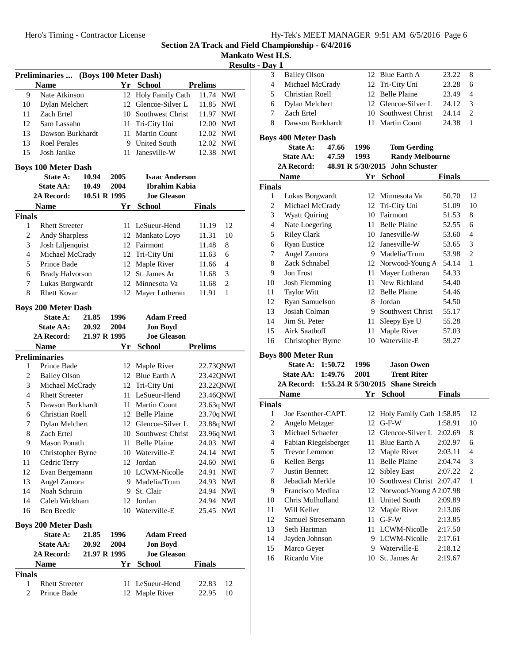| Mankato West H.S. |  |
|-------------------|--|
|                   |  |

| <b>Results -</b><br>Dav |  |
|-------------------------|--|
|-------------------------|--|

|                | <b>Preliminaries</b>                          |       |              | (Boys 100 Meter Dash)          |                | ілсэш      |
|----------------|-----------------------------------------------|-------|--------------|--------------------------------|----------------|------------|
|                | <b>Name</b>                                   |       |              | Yr School                      | <b>Prelims</b> |            |
| 9              | Nate Atkinson                                 |       | 12           | Holy Family Cath               | 11.74 NWI      |            |
| 10             | Dylan Melchert                                |       | 12           | Glencoe-Silver L               | 11.85          | <b>NWI</b> |
| 11             | Zach Ertel                                    |       |              | 10 Southwest Christ            | 11.97          | <b>NWI</b> |
| 12             | Sam Lassahn                                   |       | 11           | Tri-City Uni                   | 12.00          | <b>NWI</b> |
| 13             | Dawson Burkhardt                              |       | 11           | Martin Count                   | 12.02          | <b>NWI</b> |
| 13             | Roel Perales                                  |       | 9.           | <b>United South</b>            | 12.02          | NWI        |
| 15             | Josh Janike                                   |       | 11           | Janesville-W                   | 12.38          | <b>NWI</b> |
|                | <b>Boys 100 Meter Dash</b>                    |       |              |                                |                |            |
|                | <b>State A:</b>                               | 10.94 | 2005         | <b>Isaac Anderson</b>          |                |            |
|                | <b>State AA:</b>                              | 10.49 | 2004         | <b>Ibrahim Kabia</b>           |                |            |
|                | 2A Record:                                    |       | 10.51 R 1995 | <b>Joe Gleason</b>             |                |            |
|                | <b>Name</b>                                   |       | Yr           | School                         | Finals         |            |
| <b>Finals</b>  |                                               |       |              |                                |                |            |
| 1              | <b>Rhett Streeter</b>                         |       | 11           | LeSueur-Hend                   | 11.19          | 12         |
| $\overline{c}$ | Andy Sharpless                                |       | 12           | Mankato Loyo                   | 11.31          | 10         |
| 3              | Josh Liljenquist                              |       | 12           | Fairmont                       | 11.48          | 8          |
| 4              | Michael McCrady                               |       | 12           | Tri-City Uni                   | 11.63          | 6          |
| 5              | Prince Bade                                   |       | 12           | Maple River                    | 11.66          | 4          |
| 6              | <b>Brady Halvorson</b>                        |       | 12           | St. James Ar                   | 11.68          | 3          |
| 7              | Lukas Borgwardt                               |       | 12           | Minnesota Va                   | 11.68          | 2          |
| 8              | <b>Rhett Kovar</b>                            |       | 12           | Mayer Lutheran                 | 11.91          | 1          |
|                |                                               |       |              |                                |                |            |
|                | <b>Boys 200 Meter Dash</b><br><b>State A:</b> | 21.85 | 1996         | <b>Adam Freed</b>              |                |            |
|                | <b>State AA:</b>                              | 20.92 | 2004         | <b>Jon Boyd</b>                |                |            |
|                | 2A Record:                                    |       | 21.97 R 1995 | <b>Joe Gleason</b>             |                |            |
|                | <b>Name</b>                                   |       | Yr           | School                         | <b>Prelims</b> |            |
|                | <b>Preliminaries</b>                          |       |              |                                |                |            |
| 1              | Prince Bade                                   |       | 12           | Maple River                    | 22.73QNWI      |            |
| 2              | <b>Bailey Olson</b>                           |       | 12           | Blue Earth A                   | 23.42QNWI      |            |
| 3              | Michael McCrady                               |       | 12           | Tri-City Uni                   | 23.22QNWI      |            |
| 4              | <b>Rhett Streeter</b>                         |       | 11 -         | LeSueur-Hend                   | 23.46QNWI      |            |
| 5              | Dawson Burkhardt                              |       | 11           | Martin Count                   | 23.63q NWI     |            |
| 6              | Christian Roell                               |       | 12           | <b>Belle Plaine</b>            | 23.70q NWI     |            |
| 7              | Dylan Melchert                                |       | 12           | Glencoe-Silver L               | 23.88q NWI     |            |
| 8              | Zach Ertel                                    |       | 10           | Southwest Christ               | 23.96q NWI     |            |
| 9              | Mason Ponath                                  |       |              | 11 Belle Plaine                | 24.03 NWI      |            |
| 10             | Christopher Byrne                             |       |              | 10 Waterville-E                | 24.14 NWI      |            |
| 11             | Cedric Terry                                  |       |              | 12 Jordan                      | 24.60 NWI      |            |
| 12             | Evan Bergemann                                |       |              | 10 LCWM-Nicolle                | 24.91          | <b>NWI</b> |
| 13             | Angel Zamora                                  |       |              | 9 Madelia/Trum                 | 24.93          | <b>NWI</b> |
| 14             | Noah Schruin                                  |       |              | 9 St. Clair                    | 24.94          | <b>NWI</b> |
| 14             | Caleb Wickham                                 |       |              | 12 Jordan                      | 24.94          | <b>NWI</b> |
| 16             | Ben Beedle                                    |       |              | 10 Waterville-E                | 25.45          | <b>NWI</b> |
|                | <b>Boys 200 Meter Dash</b>                    |       |              |                                |                |            |
|                | <b>State A:</b>                               | 21.85 | 1996         | <b>Adam Freed</b>              |                |            |
|                | <b>State AA:</b>                              | 20.92 | 2004         | <b>Jon Boyd</b>                |                |            |
|                | 2A Record:                                    |       | 21.97 R 1995 | <b>Joe Gleason</b>             |                |            |
|                | <b>Name</b>                                   |       | Yr           | <b>School</b>                  | <b>Finals</b>  |            |
| <b>Finals</b>  |                                               |       |              |                                |                |            |
| 1              |                                               |       |              |                                |                |            |
| $\overline{c}$ | <b>Rhett Streeter</b><br>Prince Bade          |       | 11           | LeSueur-Hend<br>12 Maple River | 22.83<br>22.95 | 12         |

| 3              | <b>Bailey Olson</b>                          | 12   | Blue Earth A                    | 23.22         | 8                       |
|----------------|----------------------------------------------|------|---------------------------------|---------------|-------------------------|
| $\overline{4}$ | Michael McCrady                              |      | 12 Tri-City Uni                 | 23.28         | 6                       |
| 5              | Christian Roell                              |      | 12 Belle Plaine                 | 23.49         | 4                       |
| 6              | Dylan Melchert                               |      | 12 Glencoe-Silver L             | 24.12         | 3                       |
| 7              | Zach Ertel                                   |      | 10 Southwest Christ             | 24.14         | 2                       |
| 8              | Dawson Burkhardt                             |      | 11 Martin Count                 | 24.38         | $\mathbf{1}$            |
|                | <b>Boys 400 Meter Dash</b>                   |      |                                 |               |                         |
|                | <b>State A:</b><br>47.66                     | 1996 | <b>Tom Gerding</b>              |               |                         |
|                | <b>State AA:</b><br>47.59                    | 1993 | <b>Randy Melbourne</b>          |               |                         |
|                | 2A Record:                                   |      | 48.91 R 5/30/2015 John Schuster |               |                         |
|                | <b>Name</b>                                  |      | Yr School                       | <b>Finals</b> |                         |
| <b>Finals</b>  |                                              |      |                                 |               |                         |
| 1              | Lukas Borgwardt                              |      | 12 Minnesota Va                 | 50.70         | 12                      |
| 2              | Michael McCrady                              |      | 12 Tri-City Uni                 | 51.09         | 10                      |
| 3              | <b>Wyatt Quiring</b>                         |      | 10 Fairmont                     | 51.53         | 8                       |
| 4              | Nate Loegering                               |      | 11 Belle Plaine                 | 52.55         | 6                       |
| 5              | <b>Riley Clark</b>                           |      | 10 Janesville-W                 | 53.60         | 4                       |
| 6              | <b>Ryan Eustice</b>                          |      | 12 Janesville-W                 | 53.65         | 3                       |
| 7              | Angel Zamora                                 |      | 9 Madelia/Trum                  | 53.98         | 2                       |
| $8\,$          | Zack Schnabel                                |      | 12 Norwood-Young A              | 54.14         | $\mathbf{1}$            |
| 9              | <b>Jon Trost</b>                             |      | 11 Mayer Lutheran               | 54.33         |                         |
| 10             | <b>Josh Flemming</b>                         |      | 11 New Richland                 | 54.40         |                         |
| 11             | Taylor Witt                                  |      | 12 Belle Plaine                 | 54.46         |                         |
| 12             | Ryan Samuelson                               | 8    | Jordan                          | 54.50         |                         |
| 13             | Josiah Colman                                | 9.   | Southwest Christ                | 55.17         |                         |
| 14             | Jim St. Peter                                | 11   | Sleepy Eye U                    | 55.28         |                         |
| 15             | Airk Saathoff                                | 11   | Maple River                     | 57.03         |                         |
| 16             | Christopher Byrne                            |      | 10 Waterville-E                 | 59.27         |                         |
|                |                                              |      |                                 |               |                         |
|                | <b>Boys 800 Meter Run</b>                    |      |                                 |               |                         |
|                | State A: 1:50.72                             | 1996 | <b>Jason Owen</b>               |               |                         |
|                | State AA: 1:49.76                            | 2001 | <b>Trent Riter</b>              |               |                         |
|                | 2A Record: 1:55.24 R 5/30/2015 Shane Streich |      |                                 |               |                         |
|                | <b>Name</b>                                  |      | Yr School                       | <b>Finals</b> |                         |
| <b>Finals</b>  |                                              |      |                                 |               |                         |
| 1              | Joe Esenther-CAPT.                           |      | 12 Holy Family Cath 1:58.85     |               | 12                      |
| 2              | Angelo Metzger                               |      | 12 G-F-W                        | 1:58.91       | 10                      |
| 3              | Michael Schaefer                             |      | 12 Glencoe-Silver L 2:02.69     |               | 8                       |
| 4              | Fabian Riegelsberger                         |      | 11 Blue Earth A                 | 2:02.97       | 6                       |
| 5              | Trevor Lemmon                                |      | 12 Maple River                  | 2:03.11       | 4                       |
| 6              | Kellen Bergs                                 | 11   | <b>Belle Plaine</b>             | 2:04.74       | 3                       |
| 7              | Justin Bennett                               | 12   | <b>Sibley East</b>              | 2:07.22       | $\overline{\mathbf{c}}$ |
| $8\,$          | Jebadiah Merkle                              | 10   | Southwest Christ                | 2:07.47       | 1                       |
| 9              | Francisco Medina                             | 12   | Norwood-Young A 2:07.98         |               |                         |
| 10             | Chris Mulholland                             | 11   | <b>United South</b>             | 2:09.89       |                         |
| 11             | Will Keller                                  |      | 12 Maple River                  | 2:13.06       |                         |
| 12             | Samuel Stresemann                            | 11   | $G-F-W$                         | 2:13.85       |                         |
| 13             | Seth Hartman                                 | 11   | LCWM-Nicolle                    | 2:17.50       |                         |
| 14             | Jayden Johnson                               |      | 9 LCWM-Nicolle                  | 2:17.61       |                         |
| 15             | Marco Geyer                                  | 9.   | Waterville-E                    | 2:18.12       |                         |
| 16             | Ricardo Vite                                 |      | 10 St. James Ar                 | 2:19.67       |                         |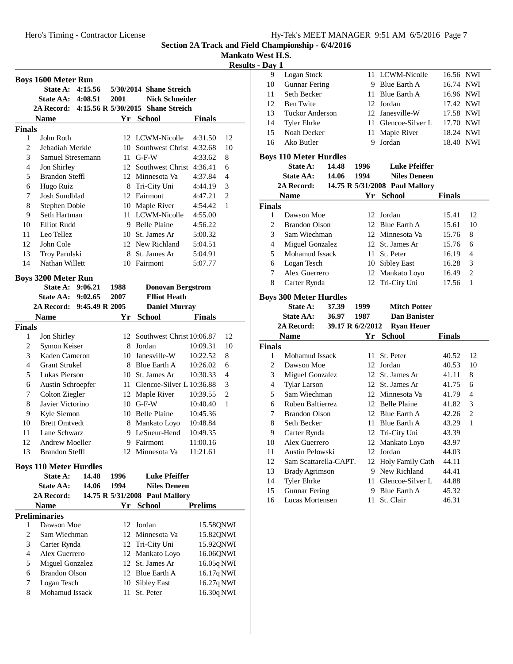**Mankato West H.S.**

**Results - Day 1**

|               |                               |                |        |                                              |                | <b>Kesul</b>   |
|---------------|-------------------------------|----------------|--------|----------------------------------------------|----------------|----------------|
|               | <b>Boys 1600 Meter Run</b>    |                |        |                                              |                |                |
|               | <b>State A:</b>               | 4:15.56        |        | 5/30/2014 Shane Streich                      |                |                |
|               | <b>State AA:</b>              | 4:08.51        | 2001   | <b>Nick Schneider</b>                        |                |                |
|               |                               |                |        | 2A Record: 4:15.56 R 5/30/2015 Shane Streich |                |                |
|               | <b>Name</b>                   |                | Yr     | <b>School</b>                                | <b>Finals</b>  |                |
| <b>Finals</b> |                               |                |        |                                              |                |                |
| 1             | John Roth                     |                | 12     | LCWM-Nicolle                                 | 4:31.50        | 12             |
| 2             | Jebadiah Merkle               |                |        | 10 Southwest Christ 4:32.68                  |                | 10             |
| 3             | Samuel Stresemann             |                | $11 -$ | $G-F-W$                                      | 4:33.62        | 8              |
| 4             | Jon Shirley                   |                |        | 12 Southwest Christ 4:36.41                  |                | 6              |
| 5             | <b>Brandon Steffl</b>         |                |        | 12 Minnesota Va                              | 4:37.84        | 4              |
| 6             | Hugo Ruiz                     |                |        | 8 Tri-City Uni                               | 4:44.19        | 3              |
| 7             | Josh Sundblad                 |                |        | 12 Fairmont                                  | 4:47.21        | $\overline{c}$ |
| 8             | Stephen Dobie                 |                |        | 10 Maple River                               | 4:54.42        | 1              |
| 9             | Seth Hartman                  |                |        | 11 LCWM-Nicolle                              | 4:55.00        |                |
| 10            | <b>Elliot Rudd</b>            |                |        | 9 Belle Plaine                               | 4:56.22        |                |
| 11            | Leo Tellez                    |                |        | 10 St. James Ar                              | 5:00.32        |                |
| 12            | John Cole                     |                |        | 12 New Richland                              | 5:04.51        |                |
| 13            |                               |                |        | 8 St. James Ar                               | 5:04.91        |                |
| 14            | Troy Parulski                 |                |        |                                              |                |                |
|               | Nathan Willett                |                |        | 10 Fairmont                                  | 5:07.77        |                |
|               | <b>Boys 3200 Meter Run</b>    |                |        |                                              |                |                |
|               | <b>State A:</b>               | 9:06.21        | 1988   | <b>Donovan Bergstrom</b>                     |                |                |
|               | <b>State AA:</b>              | 9:02.65        | 2007   | <b>Elliot Heath</b>                          |                |                |
|               | <b>2A Record:</b>             | 9:45.49 R 2005 |        | <b>Daniel Murray</b>                         |                |                |
|               | <b>Name</b>                   |                | Yr     | <b>School</b>                                | <b>Finals</b>  |                |
| <b>Finals</b> |                               |                |        |                                              |                |                |
| 1             | Jon Shirley                   |                |        | 12 Southwest Christ 10:06.87                 |                | 12             |
| 2             | Symon Keiser                  |                |        | 8 Jordan                                     | 10:09.31       | 10             |
| 3             | Kaden Cameron                 |                |        | 10 Janesville-W                              | 10:22.52       | 8              |
| 4             | <b>Grant Strukel</b>          |                |        | 8 Blue Earth A                               | 10:26.02       | 6              |
| 5             | Lukas Pierson                 |                |        | 10 St. James Ar                              | 10:30.33       | 4              |
| 6             | Austin Schroepfer             |                |        | 11 Glencoe-Silver L 10:36.88                 |                | 3              |
| 7             | Colton Ziegler                |                |        | 12 Maple River                               | 10:39.55       | $\overline{2}$ |
| 8             | Javier Victorino              |                |        | 10 G-F-W                                     | 10:40.40       | 1              |
| 9             | Kyle Siemon                   |                |        | 10 Belle Plaine                              | 10:45.36       |                |
| 10            | <b>Brett Omtvedt</b>          |                |        | 8 Mankato Loyo                               | 10:48.84       |                |
| 11            | Lane Schwarz                  |                |        | 9 LeSueur-Hend                               | 10:49.35       |                |
| 12            | Andrew Moeller                |                | 9      | Fairmont                                     | 11:00.16       |                |
| 13            | Brandon Steffl                |                | 12     | Minnesota Va                                 | 11:21.61       |                |
|               |                               |                |        |                                              |                |                |
|               | <b>Boys 110 Meter Hurdles</b> |                |        |                                              |                |                |
|               | <b>State A:</b>               | 14.48          | 1996   | <b>Luke Pfeiffer</b>                         |                |                |
|               | <b>State AA:</b>              | 14.06          | 1994   | <b>Niles Deneen</b>                          |                |                |
|               | <b>2A Record:</b>             |                |        | 14.75 R 5/31/2008 Paul Mallory               |                |                |
|               | <b>Name</b>                   |                |        | Yr School                                    | <b>Prelims</b> |                |
|               | <b>Preliminaries</b>          |                |        |                                              |                |                |
| 1             | Dawson Moe                    |                | 12     | Jordan                                       | 15.58QNWI      |                |
| 2             | Sam Wiechman                  |                |        | 12 Minnesota Va                              | 15.82QNWI      |                |
| 3             | Carter Rynda                  |                |        | 12 Tri-City Uni                              | 15.92QNWI      |                |
| 4             | Alex Guerrero                 |                |        | 12 Mankato Loyo                              | 16.06QNWI      |                |
| 5             | Miguel Gonzalez               |                |        | 12 St. James Ar                              | 16.05q NWI     |                |
| 6             | <b>Brandon Olson</b>          |                |        | 12 Blue Earth A                              | 16.17q NWI     |                |
| 7             | Logan Tesch                   |                | 10     | <b>Sibley East</b>                           | 16.27q NWI     |                |
| 8             | Mohamud Issack                |                | 11     | St. Peter                                    | 16.30q NWI     |                |

| 9              | Logan Stock                   |                  | 11-  | LCWM-Nicolle                   | 16.56 NWI     |                |
|----------------|-------------------------------|------------------|------|--------------------------------|---------------|----------------|
| 10             | <b>Gunnar Fering</b>          |                  |      | 9 Blue Earth A                 | 16.74 NWI     |                |
| 11             | Seth Becker                   |                  |      | 11 Blue Earth A                | 16.96 NWI     |                |
| 12             | <b>Ben Twite</b>              |                  |      | 12 Jordan                      | 17.42         | NWI            |
| 13             | <b>Tuckor Anderson</b>        |                  |      | 12 Janesville-W                | 17.58         | NWI            |
| 14             | Tyler Ehrke                   |                  |      | 11 Glencoe-Silver L            | 17.70 NWI     |                |
| 15             | Noah Decker                   |                  |      | 11 Maple River                 | 18.24 NWI     |                |
| 16             | Ako Butler                    |                  | 9    | Jordan                         | 18.40         | NWI            |
|                | <b>Boys 110 Meter Hurdles</b> |                  |      |                                |               |                |
|                | <b>State A:</b>               | 14.48            | 1996 | <b>Luke Pfeiffer</b>           |               |                |
|                | <b>State AA:</b>              | 14.06            | 1994 | <b>Niles Deneen</b>            |               |                |
|                | 2A Record:                    |                  |      | 14.75 R 5/31/2008 Paul Mallory |               |                |
|                | Name                          |                  |      | Yr School                      | Finals        |                |
| <b>Finals</b>  |                               |                  |      |                                |               |                |
| 1              | Dawson Moe                    |                  |      | 12 Jordan                      | 15.41         | 12             |
| $\overline{c}$ | <b>Brandon Olson</b>          |                  |      | 12 Blue Earth A                | 15.61         | 10             |
| 3              | Sam Wiechman                  |                  |      | 12 Minnesota Va                | 15.76         | 8              |
| 4              | Miguel Gonzalez               |                  |      | 12 St. James Ar                | 15.76         | 6              |
| 5              | Mohamud Issack                |                  | 11 - | St. Peter                      | 16.19         | 4              |
| 6              | Logan Tesch                   |                  |      | 10 Sibley East                 | 16.28         | 3              |
| 7              | Alex Guerrero                 |                  |      | 12 Mankato Loyo                | 16.49         | $\overline{c}$ |
| 8              | Carter Rynda                  |                  | 12   | Tri-City Uni                   | 17.56         | 1              |
|                |                               |                  |      |                                |               |                |
|                |                               |                  |      |                                |               |                |
|                | <b>Boys 300 Meter Hurdles</b> |                  |      |                                |               |                |
|                | <b>State A:</b>               | 37.39            | 1999 | <b>Mitch Potter</b>            |               |                |
|                | <b>State AA:</b>              | 36.97            | 1987 | Dan Banister                   |               |                |
|                | 2A Record:                    | 39.17 R 6/2/2012 |      | <b>Ryan Heuer</b>              |               |                |
|                | <b>Name</b>                   |                  | Yr   | <b>School</b>                  | <b>Finals</b> |                |
| <b>Finals</b>  |                               |                  |      |                                |               |                |
| 1              | Mohamud Issack                |                  | 11.  | St. Peter                      | 40.52         | 12             |
| $\overline{c}$ | Dawson Moe                    |                  |      | 12 Jordan                      | 40.53         | 10             |
| 3              | Miguel Gonzalez               |                  |      | 12 St. James Ar                | 41.11         | 8              |
| $\overline{4}$ | <b>Tylar Larson</b>           |                  |      | 12 St. James Ar                | 41.75         | 6              |
| 5              | Sam Wiechman                  |                  |      | 12 Minnesota Va                | 41.79         | 4              |
| 6              | Ruben Baltierrez              |                  |      | 12 Belle Plaine                | 41.82         | 3              |
| 7              | <b>Brandon Olson</b>          |                  |      | 12 Blue Earth A                | 42.26         | $\overline{c}$ |
| 8              | Seth Becker                   |                  |      | 11 Blue Earth A                | 43.29         | 1              |
| 9              | Carter Rynda                  |                  |      | 12 Tri-City Uni                | 43.39         |                |
| 10             | Alex Guerrero                 |                  |      | 12 Mankato Loyo                | 43.97         |                |
| 11             | Austin Pelowski               |                  |      | 12 Jordan                      | 44.03         |                |
| 12             | Sam Scattarella-CAPT.         |                  | 12   | Holy Family Cath               | 44.11         |                |
| 13             | <b>Brady Agrimson</b>         |                  | 9.   | New Richland                   | 44.41         |                |
| 14             | Tyler Ehrke                   |                  | 11   | Glencoe-Silver L               | 44.88         |                |
| 15             | <b>Gunnar Fering</b>          |                  | 9    | <b>Blue Earth A</b>            | 45.32         |                |
| 16             | Lucas Mortensen               |                  | 11   | St. Clair                      | 46.31         |                |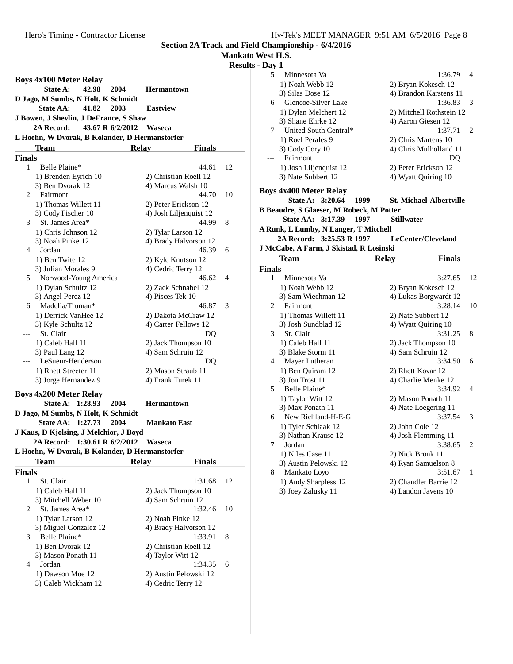| <b>Mankato West H.S.</b> |  |
|--------------------------|--|
|--------------------------|--|

|                    |                                                                         |                                             | TTCh |
|--------------------|-------------------------------------------------------------------------|---------------------------------------------|------|
|                    | <b>Boys 4x100 Meter Relay</b>                                           |                                             |      |
|                    | 42.98<br><b>State A:</b><br>2004                                        | <b>Hermantown</b>                           |      |
|                    | D Jago, M Sumbs, N Holt, K Schmidt                                      |                                             |      |
|                    | 2003<br><b>State AA:</b><br>41.82                                       | <b>Eastview</b>                             |      |
|                    | J Bowen, J Shevlin, J DeFrance, S Shaw                                  |                                             |      |
|                    | 2A Record:<br>43.67 R 6/2/2012                                          | Waseca                                      |      |
|                    | L Hoehn, W Dvorak, B Kolander, D Hermanstorfer                          |                                             |      |
|                    | <b>Team</b>                                                             | <b>Relay</b><br>Finals                      |      |
| <b>Finals</b><br>1 |                                                                         |                                             |      |
|                    | Belle Plaine*                                                           | 44.61                                       | 12   |
|                    | 1) Brenden Eyrich 10<br>3) Ben Dvorak 12                                | 2) Christian Roell 12<br>4) Marcus Walsh 10 |      |
| 2                  | Fairmont                                                                | 44.70                                       | 10   |
|                    | 1) Thomas Willett 11                                                    | 2) Peter Erickson 12                        |      |
|                    | 3) Cody Fischer 10                                                      | 4) Josh Liljenquist 12                      |      |
| 3                  | St. James Area*                                                         | 44.99                                       | 8    |
|                    | 1) Chris Johnson 12                                                     | 2) Tylar Larson 12                          |      |
|                    | 3) Noah Pinke 12                                                        | 4) Brady Halvorson 12                       |      |
| 4                  | Jordan                                                                  | 46.39                                       | 6    |
|                    | 1) Ben Twite 12                                                         | 2) Kyle Knutson 12                          |      |
|                    | 3) Julian Morales 9                                                     | 4) Cedric Terry 12                          |      |
| 5                  | Norwood-Young America                                                   | 46.62                                       | 4    |
|                    | 1) Dylan Schultz 12                                                     | 2) Zack Schnabel 12                         |      |
|                    | 3) Angel Perez 12                                                       | 4) Pisces Tek 10                            |      |
| 6                  | Madelia/Truman*                                                         | 46.87                                       | 3    |
|                    | 1) Derrick VanHee 12                                                    | 2) Dakota McCraw 12                         |      |
|                    | 3) Kyle Schultz 12                                                      | 4) Carter Fellows 12                        |      |
|                    | St. Clair                                                               | DO                                          |      |
|                    | 1) Caleb Hall 11                                                        | 2) Jack Thompson 10                         |      |
|                    | 3) Paul Lang 12                                                         | 4) Sam Schruin 12                           |      |
|                    | LeSueur-Henderson                                                       | DQ                                          |      |
|                    | 1) Rhett Streeter 11                                                    | 2) Mason Straub 11                          |      |
|                    | 3) Jorge Hernandez 9                                                    | 4) Frank Turek 11                           |      |
|                    |                                                                         |                                             |      |
|                    | <b>Boys 4x200 Meter Relay</b><br>State A: 1:28.93<br>2004               |                                             |      |
|                    | D Jago, M Sumbs, N Holt, K Schmidt                                      | <b>Hermantown</b>                           |      |
|                    | State AA: 1:27.73<br>2004                                               |                                             |      |
|                    |                                                                         | <b>Mankato East</b>                         |      |
|                    | J Kaus, D Kjolsing, J Melchior, J Boyd<br>2A Record: 1:30.61 R 6/2/2012 | Waseca                                      |      |
|                    | L Hoehn, W Dvorak, B Kolander, D Hermanstorfer                          |                                             |      |
|                    |                                                                         |                                             |      |
|                    | <b>Team</b>                                                             | <b>Relay</b><br><b>Finals</b>               |      |
| <b>Finals</b>      |                                                                         |                                             |      |
| 1                  | St. Clair                                                               | 1:31.68                                     | 12   |
|                    | 1) Caleb Hall 11                                                        | 2) Jack Thompson 10                         |      |
|                    | 3) Mitchell Weber 10<br>St. James Area*                                 | 4) Sam Schruin 12<br>1:32.46                |      |
| 2                  |                                                                         |                                             | 10   |
|                    | 1) Tylar Larson 12<br>3) Miguel Gonzalez 12                             | 2) Noah Pinke 12<br>4) Brady Halvorson 12   |      |
|                    | Belle Plaine*                                                           |                                             |      |
| 3                  |                                                                         | 1:33.91                                     | 8    |
|                    | 1) Ben Dvorak 12                                                        | 2) Christian Roell 12                       |      |
| 4                  | 3) Mason Ponath 11<br>Jordan                                            | 4) Taylor Witt 12                           | 6    |
|                    | 1) Dawson Moe 12                                                        | 1:34.35<br>2) Austin Pelowski 12            |      |
|                    | 3) Caleb Wickham 12                                                     | 4) Cedric Terry 12                          |      |
|                    |                                                                         |                                             |      |

| - Day 1       |                                                   |              |                                |    |
|---------------|---------------------------------------------------|--------------|--------------------------------|----|
| 5             | Minnesota Va                                      |              | 1:36.79                        | 4  |
|               | 1) Noah Webb 12                                   |              | 2) Bryan Kokesch 12            |    |
|               | 3) Silas Dose 12                                  |              | 4) Brandon Karstens 11         |    |
| 6             | Glencoe-Silver Lake                               |              | 1:36.83                        | 3  |
|               | 1) Dylan Melchert 12                              |              | 2) Mitchell Rothstein 12       |    |
|               | 3) Shane Ehrke 12                                 |              | 4) Aaron Giesen 12             |    |
| 7             | United South Central*                             |              | 1:37.71                        | 2  |
|               | 1) Roel Perales 9                                 |              | 2) Chris Martens 10            |    |
|               | 3) Cody Cory 10                                   |              | 4) Chris Mulholland 11         |    |
|               | Fairmont                                          |              | DQ                             |    |
|               | 1) Josh Liljenquist 12                            |              | 2) Peter Erickson 12           |    |
|               | 3) Nate Subbert 12                                |              | 4) Wyatt Quiring 10            |    |
|               |                                                   |              |                                |    |
|               | <b>Boys 4x400 Meter Relay</b><br>State A: 3:20.64 |              |                                |    |
|               |                                                   | 1999         | <b>St. Michael-Albertville</b> |    |
|               | <b>B Beaudre, S Glaeser, M Robeck, M Potter</b>   |              |                                |    |
|               | State AA: 3:17.39                                 | 1997         | <b>Stillwater</b>              |    |
|               | A Runk, L Lumby, N Langer, T Mitchell             |              |                                |    |
|               | 2A Record: 3:25.53 R 1997                         |              | LeCenter/Cleveland             |    |
|               | J McCabe, A Farm, J Skistad, R Losinski           |              |                                |    |
|               | Team                                              | <b>Relay</b> | <b>Finals</b>                  |    |
| <b>Finals</b> |                                                   |              |                                |    |
| 1             | Minnesota Va                                      |              | 3:27.65                        | 12 |
|               | 1) Noah Webb 12                                   |              | 2) Bryan Kokesch 12            |    |
|               | 3) Sam Wiechman 12                                |              | 4) Lukas Borgwardt 12          |    |
| 2             | Fairmont                                          |              | 3:28.14                        | 10 |
|               | 1) Thomas Willett 11                              |              | 2) Nate Subbert 12             |    |
|               | 3) Josh Sundblad 12                               |              | 4) Wyatt Quiring 10            |    |
| 3             | St. Clair                                         |              | 3:31.25                        | 8  |
|               | 1) Caleb Hall 11                                  |              | 2) Jack Thompson 10            |    |
|               | 3) Blake Storm 11                                 |              | 4) Sam Schruin 12              |    |
| 4             | Mayer Lutheran                                    |              | 3:34.50                        | 6  |
|               | 1) Ben Quiram 12                                  |              | 2) Rhett Kovar 12              |    |
|               | 3) Jon Trost 11                                   |              | 4) Charlie Menke 12            |    |
| 5             | Belle Plaine*                                     |              | 3:34.92                        | 4  |
|               | 1) Taylor Witt 12                                 |              | 2) Mason Ponath 11             |    |
|               | 3) Max Ponath 11                                  |              | 4) Nate Loegering 11           |    |
| 6             | New Richland-H-E-G                                |              | 3:37.54                        | 3  |
|               | 1) Tyler Schlaak 12                               |              | 2) John Cole 12                |    |
| 7             | 3) Nathan Krause 12<br>Jordan                     |              | 4) Josh Flemming 11<br>3:38.65 |    |
|               | 1) Niles Case 11                                  |              |                                | 2  |
|               |                                                   |              | 2) Nick Bronk 11               |    |
| 8             | 3) Austin Pelowski 12<br>Mankato Loyo             |              | 4) Ryan Samuelson 8<br>3:51.67 | 1  |
|               | 1) Andy Sharpless 12                              |              | 2) Chandler Barrie 12          |    |
|               | 3) Joey Zalusky 11                                |              | 4) Landon Javens 10            |    |
|               |                                                   |              |                                |    |
|               |                                                   |              |                                |    |
|               |                                                   |              |                                |    |
|               |                                                   |              |                                |    |
|               |                                                   |              |                                |    |
|               |                                                   |              |                                |    |
|               |                                                   |              |                                |    |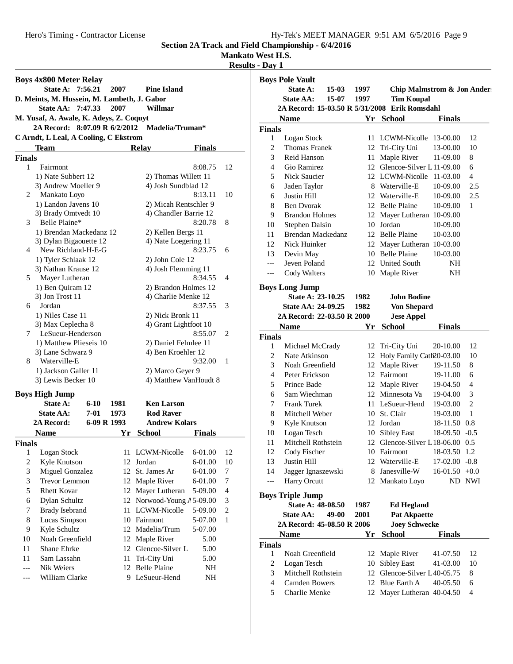**Mankato West H.S.**

|                |                                             |             |      |                         |               | res            |
|----------------|---------------------------------------------|-------------|------|-------------------------|---------------|----------------|
|                | <b>Boys 4x800 Meter Relay</b>               |             |      |                         |               |                |
|                | State A: 7:56.21                            |             | 2007 | <b>Pine Island</b>      |               |                |
|                | D. Meints, M. Hussein, M. Lambeth, J. Gabor |             |      |                         |               |                |
|                | State AA: 7:47.33                           |             | 2007 | Willmar                 |               |                |
|                | M. Yusaf, A. Awale, K. Adeys, Z. Coquyt     |             |      |                         |               |                |
|                | 2A Record: 8:07.09 R 6/2/2012               |             |      | Madelia/Truman*         |               |                |
|                | C Arndt, L Leal, A Cooling, C Ekstrom       |             |      |                         |               |                |
|                | <b>Team</b>                                 |             |      | <b>Relay</b>            | <b>Finals</b> |                |
| <b>Finals</b>  |                                             |             |      |                         |               |                |
| 1              | Fairmont                                    |             |      |                         | 8:08.75       | 12             |
|                | 1) Nate Subbert 12                          |             |      | 2) Thomas Willett 11    |               |                |
|                | 3) Andrew Moeller 9                         |             |      | 4) Josh Sundblad 12     |               |                |
| 2              | Mankato Loyo                                |             |      |                         | 8:13.11       | 10             |
|                | 1) Landon Javens 10                         |             |      | 2) Micah Rentschler 9   |               |                |
|                | 3) Brady Omtvedt 10                         |             |      | 4) Chandler Barrie 12   |               |                |
| 3              | Belle Plaine*                               |             |      |                         | 8:20.78       | 8              |
|                | 1) Brendan Mackedanz 12                     |             |      | 2) Kellen Bergs 11      |               |                |
|                | 3) Dylan Bigaouette 12                      |             |      | 4) Nate Loegering 11    |               |                |
| 4              | New Richland-H-E-G                          |             |      |                         | 8:23.75       | 6              |
|                | 1) Tyler Schlaak 12                         |             |      | 2) John Cole 12         |               |                |
|                | 3) Nathan Krause 12                         |             |      | 4) Josh Flemming 11     |               |                |
|                | Mayer Lutheran<br>5                         |             |      |                         | 8:34.55       | 4              |
|                | 1) Ben Quiram 12                            |             |      | 2) Brandon Holmes 12    |               |                |
| 6              | 3) Jon Trost 11<br>Jordan                   |             |      | 4) Charlie Menke 12     | 8:37.55       | 3              |
|                | 1) Niles Case 11                            |             |      | 2) Nick Bronk 11        |               |                |
|                | 3) Max Ceplecha 8                           |             |      | 4) Grant Lightfoot 10   |               |                |
| 7              | LeSueur-Henderson                           |             |      |                         | 8:55.07       | 2              |
|                | 1) Matthew Plieseis 10                      |             |      | 2) Daniel Felmlee 11    |               |                |
|                | 3) Lane Schwarz 9                           |             |      | 4) Ben Kroehler 12      |               |                |
| 8              | Waterville-E                                |             |      |                         | 9:32.00       | 1              |
|                | 1) Jackson Galler 11                        |             |      | 2) Marco Geyer 9        |               |                |
|                | 3) Lewis Becker 10                          |             |      | 4) Matthew VanHoudt 8   |               |                |
|                | <b>Boys High Jump</b>                       |             |      |                         |               |                |
|                | <b>State A:</b>                             | 6-10        | 1981 | <b>Ken Larson</b>       |               |                |
|                | <b>State AA:</b>                            | 7-01        | 1973 | <b>Rod Raver</b>        |               |                |
|                | <b>2A Record:</b>                           | 6-09 R 1993 |      | <b>Andrew Kolars</b>    |               |                |
|                | Name                                        |             | Yr   | <b>School</b>           | <b>Finals</b> |                |
| <b>Finals</b>  |                                             |             |      |                         |               |                |
| 1              | Logan Stock                                 |             |      | 11 LCWM-Nicolle         | 6-01.00       | 12             |
| $\overline{c}$ | Kyle Knutson                                |             |      | 12 Jordan               | 6-01.00       | 10             |
| 3              | Miguel Gonzalez                             |             |      | 12 St. James Ar         | 6-01.00       | 7              |
| 3              | Trevor Lemmon                               |             |      | 12 Maple River          | 6-01.00       | 7              |
| 5              | <b>Rhett Kovar</b>                          |             | 12   | Mayer Lutheran          | 5-09.00       | 4              |
| 6              | Dylan Schultz                               |             | 12   | Norwood-Young A 5-09.00 |               | 3              |
| 7              | <b>Brady Isebrand</b>                       |             | 11   | LCWM-Nicolle            | 5-09.00       | $\overline{c}$ |
| 8              | Lucas Simpson                               |             |      | 10 Fairmont             | 5-07.00       | 1              |
| 9              | Kyle Schultz                                |             |      | 12 Madelia/Trum         | 5-07.00       |                |
| 10             | Noah Greenfield                             |             | 12   | Maple River             | 5.00          |                |
| 11             | <b>Shane Ehrke</b>                          |             | 12   | Glencoe-Silver L        | 5.00          |                |
| 11             | Sam Lassahn                                 |             | 11   | Tri-City Uni            | 5.00          |                |
|                | Nik Weiers                                  |             | 12   | <b>Belle Plaine</b>     | NΗ            |                |
|                | William Clarke                              |             |      | 9 LeSueur-Hend          | NΗ            |                |
|                |                                             |             |      |                         |               |                |

|                    | <b>Boys Pole Vault</b>                        |             |                                                       |                          |                |
|--------------------|-----------------------------------------------|-------------|-------------------------------------------------------|--------------------------|----------------|
|                    | <b>State A:</b><br>15-03                      | 1997        | <b>Chip Malmstrom &amp; Jon Ander:</b>                |                          |                |
|                    | <b>State AA:</b><br>15-07                     | 1997        | <b>Tim Koupal</b>                                     |                          |                |
|                    | 2A Record: 15-03.50 R 5/31/2008 Erik Romsdahl |             |                                                       |                          |                |
|                    | <b>Name</b>                                   | Yr          | School                                                | <b>Finals</b>            |                |
| <b>Finals</b>      |                                               |             |                                                       |                          |                |
| 1                  | Logan Stock                                   |             | 11 LCWM-Nicolle 13-00.00                              |                          | 12             |
| 2                  | <b>Thomas Franek</b>                          |             | 12 Tri-City Uni                                       | 13-00.00                 | 10             |
| 3                  | Reid Hanson                                   | 11 -        | Maple River                                           | 11-09.00                 | 8              |
| 4                  | Gio Ramirez                                   |             | 12 Glencoe-Silver L11-09.00                           |                          | 6              |
| 5                  | Nick Saucier                                  |             | 12 LCWM-Nicolle                                       | $11-03.00$               | 4              |
| 6                  | Jaden Taylor                                  |             | 8 Waterville-E                                        | 10-09.00                 | 2.5            |
| 6                  | <b>Justin Hill</b>                            |             | 12 Waterville-E                                       | 10-09.00                 | 2.5            |
| 8                  | <b>Ben Dvorak</b>                             |             | 12 Belle Plaine                                       | 10-09.00                 | 1              |
| 9                  | <b>Brandon Holmes</b>                         |             | 12 Mayer Lutheran 10-09.00                            |                          |                |
| 10                 | <b>Stephen Dalsin</b>                         |             | 10 Jordan                                             | 10-09.00                 |                |
| 11                 | Brendan Mackedanz                             |             | 12 Belle Plaine                                       | 10-03.00                 |                |
| 12                 | Nick Huinker                                  |             | 12 Mayer Lutheran                                     | 10-03.00                 |                |
| 13                 | Devin May                                     |             | 10 Belle Plaine                                       | 10-03.00                 |                |
| ---                | Jeven Poland                                  |             | 12 United South                                       | NH                       |                |
| ---                | Cody Walters                                  |             | 10 Maple River                                        | NH                       |                |
|                    |                                               |             |                                                       |                          |                |
|                    | <b>Boys Long Jump</b>                         |             |                                                       |                          |                |
|                    | State A: 23-10.25                             | 1982        | <b>John Bodine</b>                                    |                          |                |
|                    | <b>State AA: 24-09.25</b>                     | 1982        | <b>Von Shepard</b>                                    |                          |                |
|                    | 2A Record: 22-03.50 R 2000                    |             | <b>Jese Appel</b>                                     |                          |                |
|                    | <b>Name</b>                                   | Yr          | <b>School</b>                                         | <b>Finals</b>            |                |
| <b>Finals</b><br>1 | Michael McCrady                               |             | 12 Tri-City Uni                                       | 20-10.00                 | 12             |
| 2                  | Nate Atkinson                                 |             | 12 Holy Family Cath20-03.00                           |                          | 10             |
| 3                  | Noah Greenfield                               |             | 12 Maple River                                        | 19-11.50                 | 8              |
| 4                  | Peter Erickson                                |             | 12 Fairmont                                           | 19-11.00                 | 6              |
| 5                  | Prince Bade                                   |             | 12 Maple River                                        | 19-04.50                 | 4              |
| 6                  | Sam Wiechman                                  |             | 12 Minnesota Va                                       | 19-04.00                 | 3              |
| 7                  | <b>Frank Turek</b>                            |             | 11 LeSueur-Hend                                       |                          | $\overline{c}$ |
| 8                  | Mitchell Weber                                |             | 10 St. Clair                                          | 19-03.00                 | $\mathbf{1}$   |
|                    |                                               |             |                                                       | 19-03.00<br>18-11.50 0.8 |                |
| 9                  | Kyle Knutson                                  |             | 12 Jordan                                             |                          |                |
| 10                 | Logan Tesch                                   | 10          | <b>Sibley East</b><br>12 Glencoe-Silver L18-06.00 0.5 | 18-09.50                 | $-0.5$         |
| 11                 | Mitchell Rothstein                            |             |                                                       |                          |                |
| 12                 | Cody Fischer                                  |             | 10 Fairmont                                           | 18-03.50                 | 1.2            |
| 13                 | Justin Hill                                   |             | 12 Waterville-E                                       | 17-02.00                 | $-0.8$         |
| 14                 | Jagger Ignaszewski                            |             | 8 Janesville-W                                        | $16-01.50 +0.0$          |                |
| ---                | Harry Orcutt                                  |             | 12 Mankato Loyo                                       |                          | ND NWI         |
|                    | <b>Boys Triple Jump</b>                       |             |                                                       |                          |                |
|                    | State A: 48-08.50                             | 1987        | <b>Ed Hegland</b>                                     |                          |                |
|                    | <b>State AA:</b><br>49-00                     | <b>2001</b> | <b>Pat Akpaette</b>                                   |                          |                |
|                    |                                               |             | <b>Joey Schwecke</b>                                  |                          |                |
|                    | 2A Record: 45-08.50 R 2006                    |             |                                                       |                          |                |
|                    | <b>Name</b>                                   | Yr          | <b>School</b>                                         | <b>Finals</b>            |                |
|                    |                                               |             |                                                       |                          |                |
| 1                  | Noah Greenfield                               | 12          | Maple River                                           | 41-07.50                 | 12             |
| 2                  | Logan Tesch                                   | 10          | <b>Sibley East</b>                                    | 41-03.00                 | 10             |
| 3                  | Mitchell Rothstein                            | 12          | Glencoe-Silver L40-05.75                              |                          | 8              |
| <b>Finals</b><br>4 | <b>Camden Bowers</b>                          |             | 12 Blue Earth A                                       | 40-05.50                 | 6              |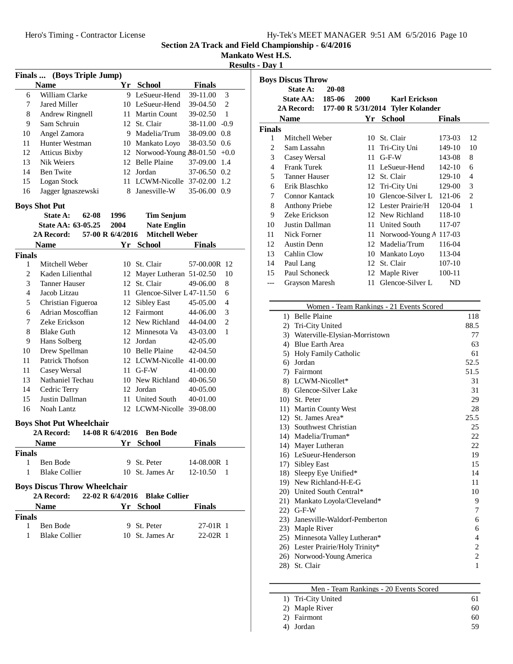| <b>Mankato West H.S.</b> |
|--------------------------|
|--------------------------|

**Results - Day 1**

| <b>Finals</b> | (Boys Triple Jump)                  |                  |                                  |               |                |
|---------------|-------------------------------------|------------------|----------------------------------|---------------|----------------|
|               | <b>Name</b>                         |                  | Yr School                        | <b>Finals</b> |                |
| 6             | William Clarke                      |                  | 9 LeSueur-Hend                   | 39-11.00      | 3              |
| 7             | <b>Jared Miller</b>                 |                  | 10 LeSueur-Hend                  | 39-04.50      | $\overline{2}$ |
| 8             | Andrew Ringnell                     |                  | 11 Martin Count                  | 39-02.50      | $\mathbf{1}$   |
| 9             | Sam Schruin                         |                  | 12 St. Clair                     | 38-11.00 -0.9 |                |
| 10            | Angel Zamora                        |                  | 9 Madelia/Trum                   | 38-09.00 0.8  |                |
| 11            | Hunter Westman                      |                  | 10 Mankato Loyo                  | 38-03.50 0.6  |                |
| 12            | <b>Atticus Bixby</b>                |                  | 12 Norwood-Young $$8-01.50$ +0.0 |               |                |
| 13            | Nik Weiers                          |                  | 12 Belle Plaine                  | 37-09.00      | 1.4            |
| 14            | <b>Ben Twite</b>                    |                  | 12 Jordan                        | 37-06.50 0.2  |                |
| 15            | Logan Stock                         |                  | 11 LCWM-Nicolle 37-02.00         |               | 1.2            |
| 16            | Jagger Ignaszewski                  |                  | 8 Janesville-W                   | 35-06.00 0.9  |                |
|               | <b>Boys Shot Put</b>                |                  |                                  |               |                |
|               | <b>State A:</b><br>62-08            | 1996             | <b>Tim Senjum</b>                |               |                |
|               | State AA: 63-05.25                  | 2004             | <b>Nate Englin</b>               |               |                |
|               | <b>2A Record:</b>                   | 57-00 R 6/4/2016 | <b>Mitchell Weber</b>            |               |                |
|               | <b>Name</b>                         | Yr               | School                           | <b>Finals</b> |                |
| <b>Finals</b> |                                     |                  |                                  |               |                |
| 1             | Mitchell Weber                      |                  | 10 St. Clair                     | 57-00.00R 12  |                |
| 2             | Kaden Lilienthal                    |                  | 12 Mayer Lutheran 51-02.50       |               | 10             |
| 3             | <b>Tanner Hauser</b>                |                  | 12 St. Clair                     | 49-06.00      | 8              |
| 4             | Jacob Litzau                        | 11 -             | Glencoe-Silver L47-11.50         |               | 6              |
| 5             | Christian Figueroa                  |                  | 12 Sibley East                   | 45-05.00      | 4              |
| 6             | Adrian Moscoffian                   |                  | 12 Fairmont                      | 44-06.00      | 3              |
| 7             | Zeke Erickson                       |                  | 12 New Richland                  | 44-04.00      | $\overline{2}$ |
| 8             | <b>Blake Guth</b>                   |                  | 12 Minnesota Va                  | 43-03.00      | 1              |
| 9             | Hans Solberg                        |                  | 12 Jordan                        | 42-05.00      |                |
| 10            | Drew Spellman                       |                  | 10 Belle Plaine                  | 42-04.50      |                |
| 11            | <b>Patrick Thofson</b>              |                  | 12 LCWM-Nicolle 41-00.00         |               |                |
| 11            | Casey Wersal                        |                  | 11 G-F-W                         | 41-00.00      |                |
| 13            | Nathaniel Techau                    |                  | 10 New Richland                  | 40-06.50      |                |
| 14            | Cedric Terry                        |                  | 12 Jordan                        | 40-05.00      |                |
| 15            | Justin Dallman                      |                  | 11 United South                  | 40-01.00      |                |
| 16            | Noah Lantz                          |                  | 12 LCWM-Nicolle 39-08.00         |               |                |
|               | <b>Boys Shot Put Wheelchair</b>     |                  |                                  |               |                |
|               | 2A Record:                          | 14-08 R 6/4/2016 | <b>Ben Bode</b>                  |               |                |
|               | Name                                |                  | Yr School                        | Finals        |                |
| <b>Finals</b> |                                     |                  |                                  |               |                |
| 1             | Ben Bode                            |                  | 9 St. Peter                      | 14-08.00R 1   |                |
| 1             | <b>Blake Collier</b>                |                  | 10 St. James Ar                  | 12-10.50      | 1              |
|               |                                     |                  |                                  |               |                |
|               | <b>Boys Discus Throw Wheelchair</b> |                  |                                  |               |                |
|               | 2A Record:                          | 22-02 R 6/4/2016 | <b>Blake Collier</b>             |               |                |
|               | <b>Name</b>                         |                  | Yr School                        | Finals        |                |
| <b>Finals</b> |                                     |                  |                                  |               |                |
| 1             | Ben Bode                            |                  | 9 St. Peter                      | 27-01R 1      |                |
| 1             | <b>Blake Collier</b>                |                  | 10 St. James Ar                  | $22-02R$ 1    |                |
|               |                                     |                  |                                  |               |                |

| <b>Boys Discus Throw</b> |                           |                               |      |  |                                          |               |                |
|--------------------------|---------------------------|-------------------------------|------|--|------------------------------------------|---------------|----------------|
|                          | <b>State A:</b>           | 20-08                         |      |  |                                          |               |                |
|                          | <b>State AA:</b>          | 185-06                        | 2000 |  | <b>Karl Erickson</b>                     |               |                |
|                          | <b>2A Record:</b>         |                               |      |  | 177-00 R 5/31/2014 Tyler Kolander        |               |                |
|                          | <b>Name</b>               |                               |      |  | Yr School                                | <b>Finals</b> |                |
| <b>Finals</b>            |                           |                               |      |  |                                          |               |                |
| 1                        | Mitchell Weber            |                               |      |  | 10 St. Clair                             | 173-03        | 12             |
| $\overline{c}$           | Sam Lassahn               |                               | 11   |  | Tri-City Uni                             | 149-10        | 10             |
| 3                        | Casey Wersal              |                               | 11   |  | $G-F-W$                                  | 143-08        | 8              |
| $\overline{4}$           | <b>Frank Turek</b>        |                               | 11   |  | LeSueur-Hend                             | $142 - 10$    | 6              |
| 5                        | <b>Tanner Hauser</b>      |                               |      |  | 12 St. Clair                             | 129-10        | $\overline{4}$ |
| 6                        | Erik Blaschko             |                               | 12   |  | Tri-City Uni                             | 129-00        | 3              |
| 7                        | Connor Kantack            |                               | 10   |  | Glencoe-Silver L                         | 121-06        | $\overline{c}$ |
| 8                        | <b>Anthony Priebe</b>     |                               |      |  | 12 Lester Prairie/H                      | 120-04        | 1              |
| 9                        | Zeke Erickson             |                               |      |  | 12 New Richland                          | 118-10        |                |
| 10                       | Justin Dallman            |                               | 11   |  | <b>United South</b>                      | 117-07        |                |
| 11                       | Nick Forner               |                               | 11   |  | Norwood-Young A 117-03                   |               |                |
| 12                       | <b>Austin Denn</b>        |                               |      |  | 12 Madelia/Trum                          | 116-04        |                |
| 13                       | Cahlin Clow               |                               | 10   |  | Mankato Loyo                             | 113-04        |                |
| 14                       | Paul Lang                 |                               | 12   |  | St. Clair                                | $107 - 10$    |                |
| 15                       | Paul Schoneck             |                               | 12   |  | Maple River                              | 100-11        |                |
| ---                      | Grayson Maresh            |                               | 11   |  | Glencoe-Silver L                         | ND            |                |
|                          |                           |                               |      |  |                                          |               |                |
|                          |                           |                               |      |  | Women - Team Rankings - 21 Events Scored |               |                |
|                          | <b>Belle Plaine</b><br>1) |                               |      |  |                                          |               | 118            |
|                          | 2)<br>Tri-City United     |                               |      |  |                                          |               | 88.5           |
|                          | 3)                        | Waterville-Elysian-Morristown |      |  |                                          |               | 77             |

| 2)  | Tri-City United                  | 88.5 |
|-----|----------------------------------|------|
|     | 3) Waterville-Elysian-Morristown | 77   |
| 4)  | <b>Blue Earth Area</b>           | 63   |
| 5)  | Holy Family Catholic             | 61   |
| 6)  | Jordan                           | 52.5 |
|     | 7) Fairmont                      | 51.5 |
|     | 8) LCWM-Nicollet*                | 31   |
|     | 8) Glencoe-Silver Lake           | 31   |
|     | 10) St. Peter                    | 29   |
|     | 11) Martin County West           | 28   |
|     | 12) St. James Area*              | 25.5 |
|     | 13) Southwest Christian          | 25   |
|     | 14) Madelia/Truman*              | 22   |
|     | 14) Mayer Lutheran               | 22   |
|     | 16) LeSueur-Henderson            | 19   |
|     | 17) Sibley East                  | 15   |
|     | 18) Sleepy Eye Unified*          | 14   |
|     | 19) New Richland-H-E-G           | 11   |
|     | 20) United South Central*        | 10   |
|     | 21) Mankato Loyola/Cleveland*    | 9    |
|     | 22) G-F-W                        | 7    |
|     | 23) Janesville-Waldorf-Pemberton | 6    |
|     | 23) Maple River                  | 6    |
|     | 25) Minnesota Valley Lutheran*   | 4    |
|     | 26) Lester Prairie/Holy Trinity* | 2    |
| 26) | Norwood-Young America            | 2    |
| 28) | St. Clair                        | 1    |
|     |                                  |      |

## Men - Team Rankings - 20 Events Scored

| 1) Tri-City United | 61 |
|--------------------|----|
| 2) Maple River     | 60 |
| 2) Fairmont        | 60 |
| 4) Jordan          | 59 |